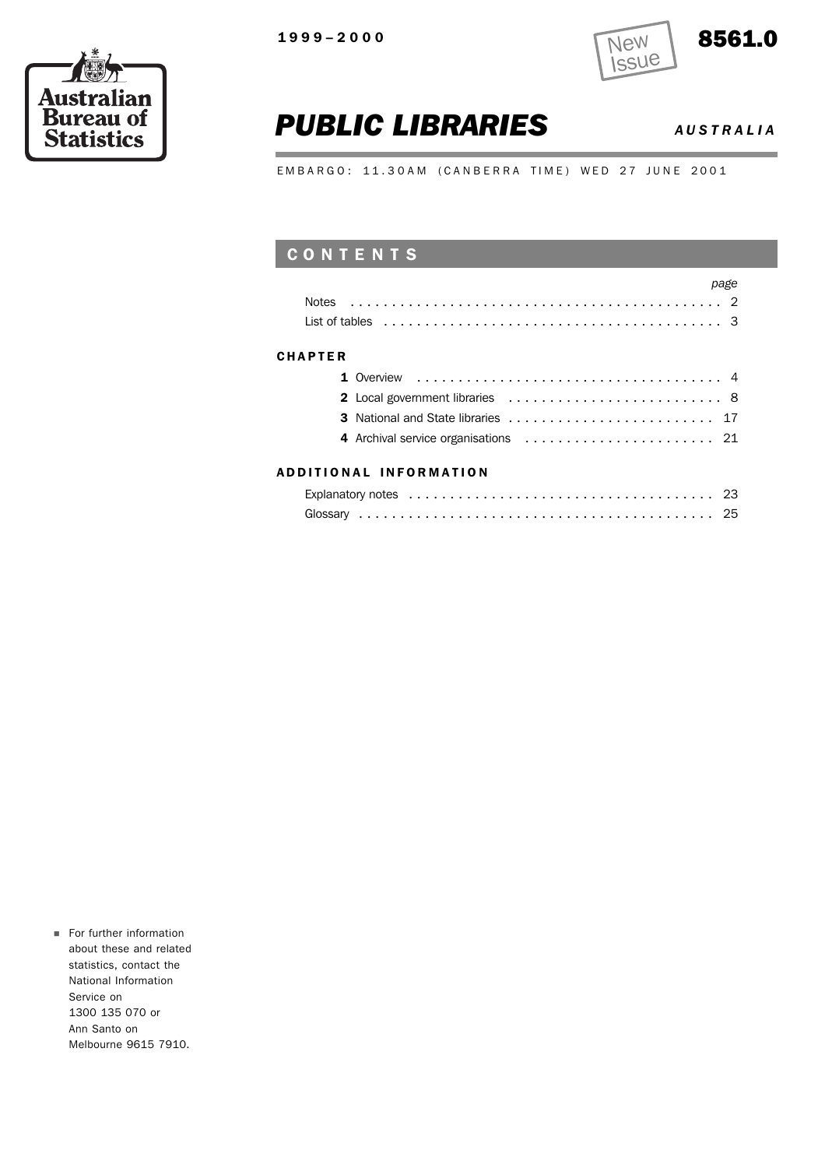r.





## *PUBLIC LIBRARIES AUSTRALIA*

EMBARGO: 11.30AM (CANBERRA TIME) WED 27 JUNE 2001

### CONTENTS

|                | page<br>List of tables $\ldots \ldots \ldots \ldots \ldots \ldots \ldots \ldots \ldots \ldots \ldots \ldots$ |  |
|----------------|--------------------------------------------------------------------------------------------------------------|--|
| <b>CHAPTER</b> |                                                                                                              |  |
|                |                                                                                                              |  |
|                | 2 Local government libraries  8                                                                              |  |
|                |                                                                                                              |  |
|                |                                                                                                              |  |
|                |                                                                                                              |  |

### ADDITIONAL INFORMATION

For further information about these and related statistics, contact the National Information Service on 1300 135 070 or Ann Santo on Melbourne 9615 7910.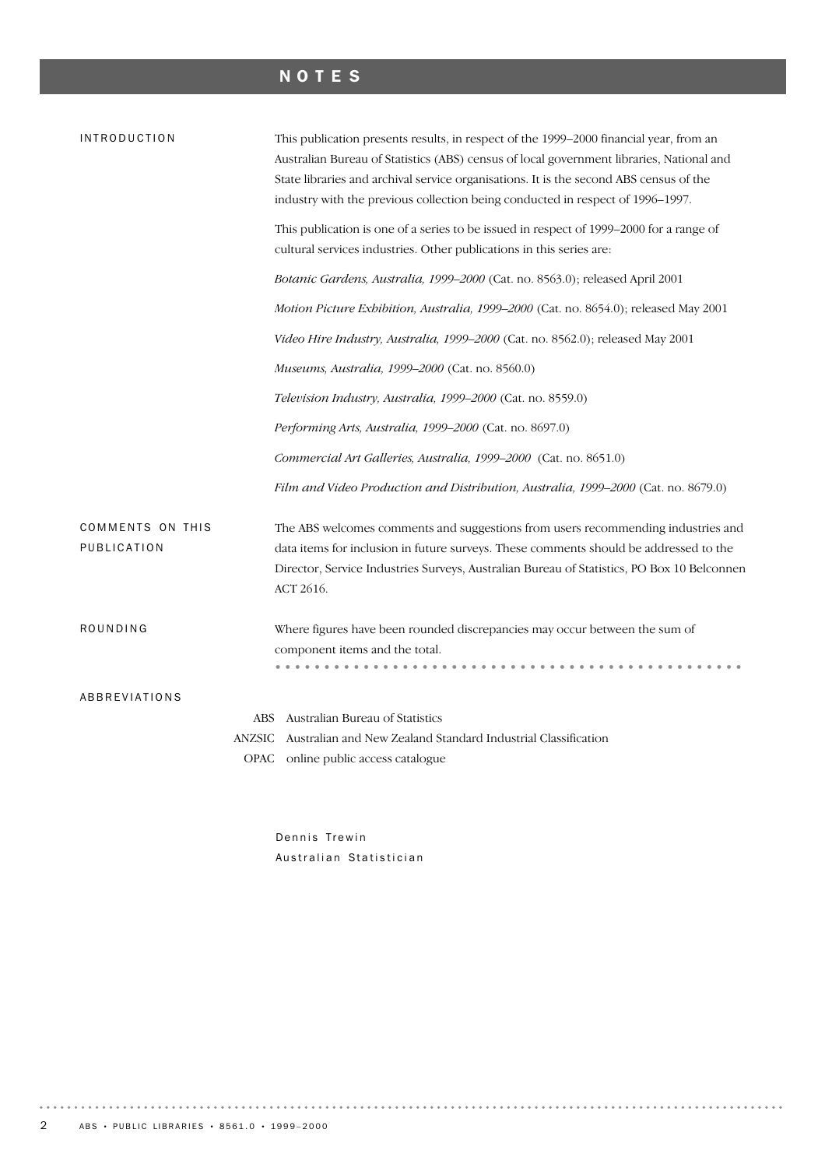## NOTES

| <b>INTRODUCTION</b>                    | This publication presents results, in respect of the 1999–2000 financial year, from an<br>Australian Bureau of Statistics (ABS) census of local government libraries, National and<br>State libraries and archival service organisations. It is the second ABS census of the<br>industry with the previous collection being conducted in respect of 1996-1997. |
|----------------------------------------|----------------------------------------------------------------------------------------------------------------------------------------------------------------------------------------------------------------------------------------------------------------------------------------------------------------------------------------------------------------|
|                                        | This publication is one of a series to be issued in respect of 1999–2000 for a range of<br>cultural services industries. Other publications in this series are:                                                                                                                                                                                                |
|                                        | Botanic Gardens, Australia, 1999-2000 (Cat. no. 8563.0); released April 2001                                                                                                                                                                                                                                                                                   |
|                                        | Motion Picture Exhibition, Australia, 1999-2000 (Cat. no. 8654.0); released May 2001                                                                                                                                                                                                                                                                           |
|                                        | Video Hire Industry, Australia, 1999-2000 (Cat. no. 8562.0); released May 2001                                                                                                                                                                                                                                                                                 |
|                                        | Museums, Australia, 1999–2000 (Cat. no. 8560.0)                                                                                                                                                                                                                                                                                                                |
|                                        | Television Industry, Australia, 1999–2000 (Cat. no. 8559.0)                                                                                                                                                                                                                                                                                                    |
|                                        | Performing Arts, Australia, 1999-2000 (Cat. no. 8697.0)                                                                                                                                                                                                                                                                                                        |
|                                        | Commercial Art Galleries, Australia, 1999-2000 (Cat. no. 8651.0)                                                                                                                                                                                                                                                                                               |
|                                        | Film and Video Production and Distribution, Australia, 1999-2000 (Cat. no. 8679.0)                                                                                                                                                                                                                                                                             |
| <b>COMMENTS ON THIS</b><br>PUBLICATION | The ABS welcomes comments and suggestions from users recommending industries and<br>data items for inclusion in future surveys. These comments should be addressed to the<br>Director, Service Industries Surveys, Australian Bureau of Statistics, PO Box 10 Belconnen<br>ACT 2616.                                                                           |
| ROUNDING                               | Where figures have been rounded discrepancies may occur between the sum of<br>component items and the total.                                                                                                                                                                                                                                                   |
| ABBREVIATIONS                          |                                                                                                                                                                                                                                                                                                                                                                |
|                                        | Australian Bureau of Statistics<br>ABS<br>Australian and New Zealand Standard Industrial Classification<br><b>ANZSIC</b><br>OPAC online public access catalogue                                                                                                                                                                                                |

Dennis Trewin Australian Statistician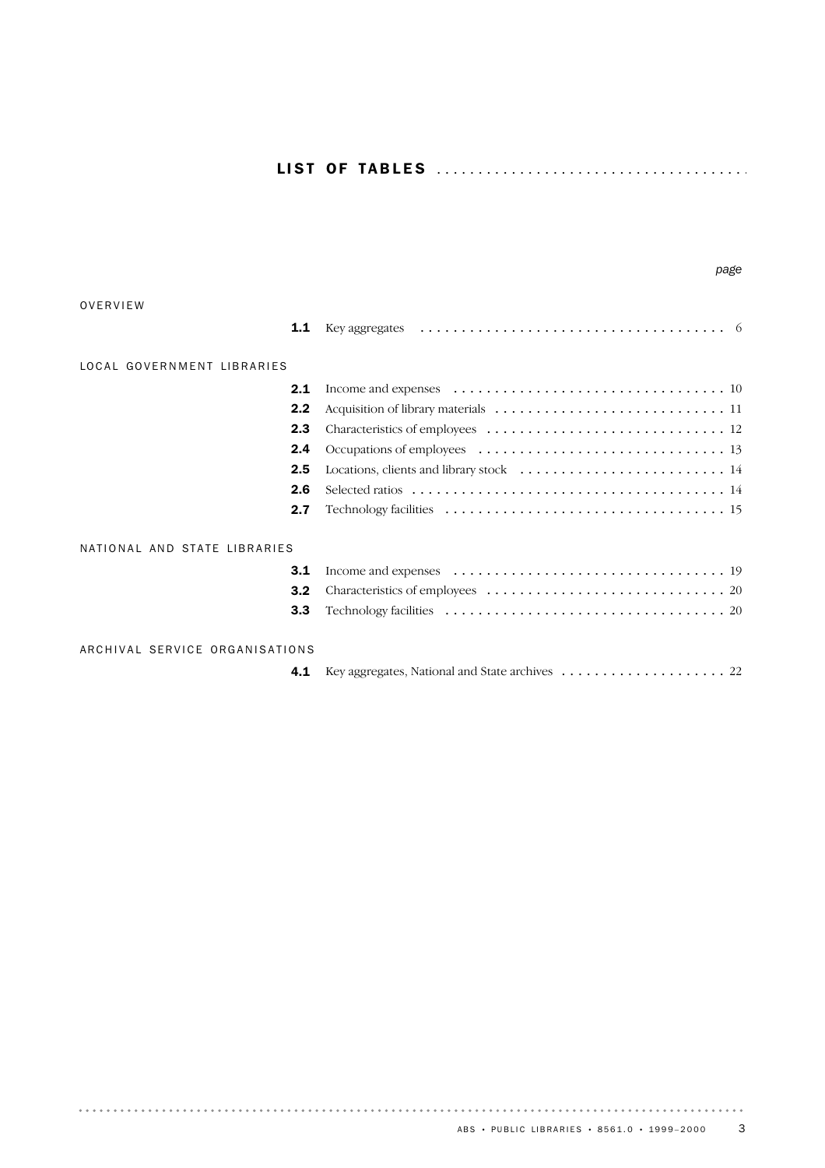|                                | page                                                                                                                        |
|--------------------------------|-----------------------------------------------------------------------------------------------------------------------------|
| OVERVIEW                       |                                                                                                                             |
| 1.1                            |                                                                                                                             |
| LOCAL GOVERNMENT LIBRARIES     |                                                                                                                             |
| 2.1                            |                                                                                                                             |
| 2.2                            |                                                                                                                             |
| 2.3                            |                                                                                                                             |
| 2.4                            |                                                                                                                             |
| 2.5                            |                                                                                                                             |
| 2.6                            |                                                                                                                             |
| 2.7                            |                                                                                                                             |
| NATIONAL AND STATE LIBRARIES   |                                                                                                                             |
| 3.1                            | Income and expenses $\dots \dots \dots \dots \dots \dots \dots \dots \dots \dots \dots \dots \dots \dots \dots \dots \dots$ |
| 3.2                            |                                                                                                                             |
| 3.3                            |                                                                                                                             |
| ARCHIVAL SERVICE ORGANISATIONS |                                                                                                                             |
| 4.1                            |                                                                                                                             |

. . . . . . .

 $\begin{array}{cccccccccccccc} \bullet & \bullet & \bullet & \bullet & \bullet & \bullet & \bullet & \bullet \end{array}$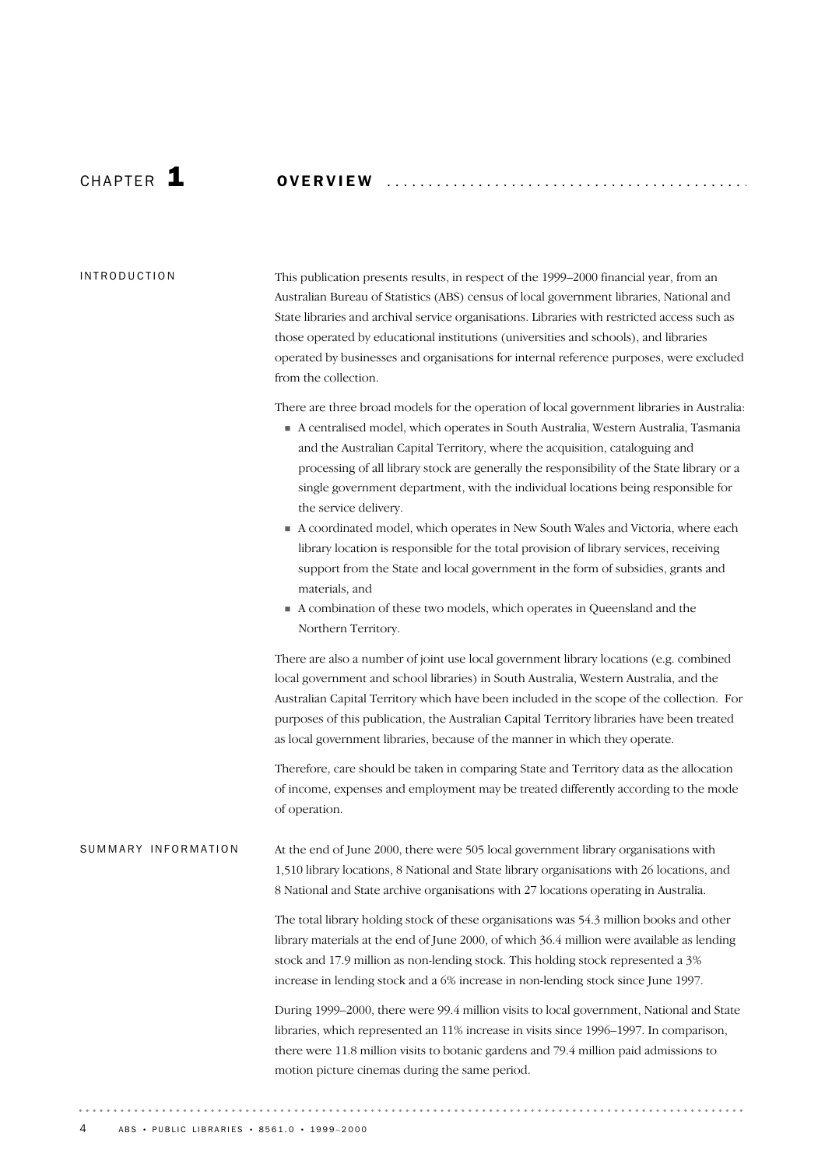CHAP T E R 1 OVERVIEW ........................................... .

### INTRODUCTION

This publication presents results, in respect of the 1999–2000 financial year, from an Australian Bureau of Statistics (ABS) census of local government libraries, National and State libraries and archival service organisations. Libraries with restricted access such as those operated by educational institutions (universities and schools), and libraries operated by businesses and organisations for internal reference purposes, were excluded from the collection.

There are three broad models for the operation of local government libraries in Australia:

- A centralised model, which operates in South Australia, Western Australia, Tasmania and the Australian Capital Territory, where the acquisition, cataloguing and processing of all library stock are generally the responsibility of the State library or a single government department, with the individual locations being responsible for the service delivery.
- A coordinated model, which operates in New South Wales and Victoria, where each library location is responsible for the total provision of library services, receiving support from the State and local government in the form of subsidies, grants and materials, and
- A combination of these two models, which operates in Queensland and the Northern Territory.

There are also a number of joint use local government library locations (e.g. combined local government and school libraries) in South Australia, Western Australia, and the Australian Capital Territory which have been included in the scope of the collection. For purposes of this publication, the Australian Capital Territory libraries have been treated as local government libraries, because of the manner in which they operate.

Therefore, care should be taken in comparing State and Territory data as the allocation of income, expenses and employment may be treated differently according to the mode of operation.

At the end of June 2000, there were 505 local government library organisations with 1,510 library locations, 8 National and State library organisations with 26 locations, and 8 National and State archive organisations with 27 locations operating in Australia. SUMMARY INFORMATION

> The total library holding stock of these organisations was 54.3 million books and other library materials at the end of June 2000, of which 36.4 million were available as lending stock and 17.9 million as non-lending stock. This holding stock represented a 3% increase in lending stock and a 6% increase in non-lending stock since June 1997.

> During 1999–2000, there were 99.4 million visits to local government, National and State libraries, which represented an 11% increase in visits since 1996–1997. In comparison, there were 11.8 million visits to botanic gardens and 79.4 million paid admissions to motion picture cinemas during the same period.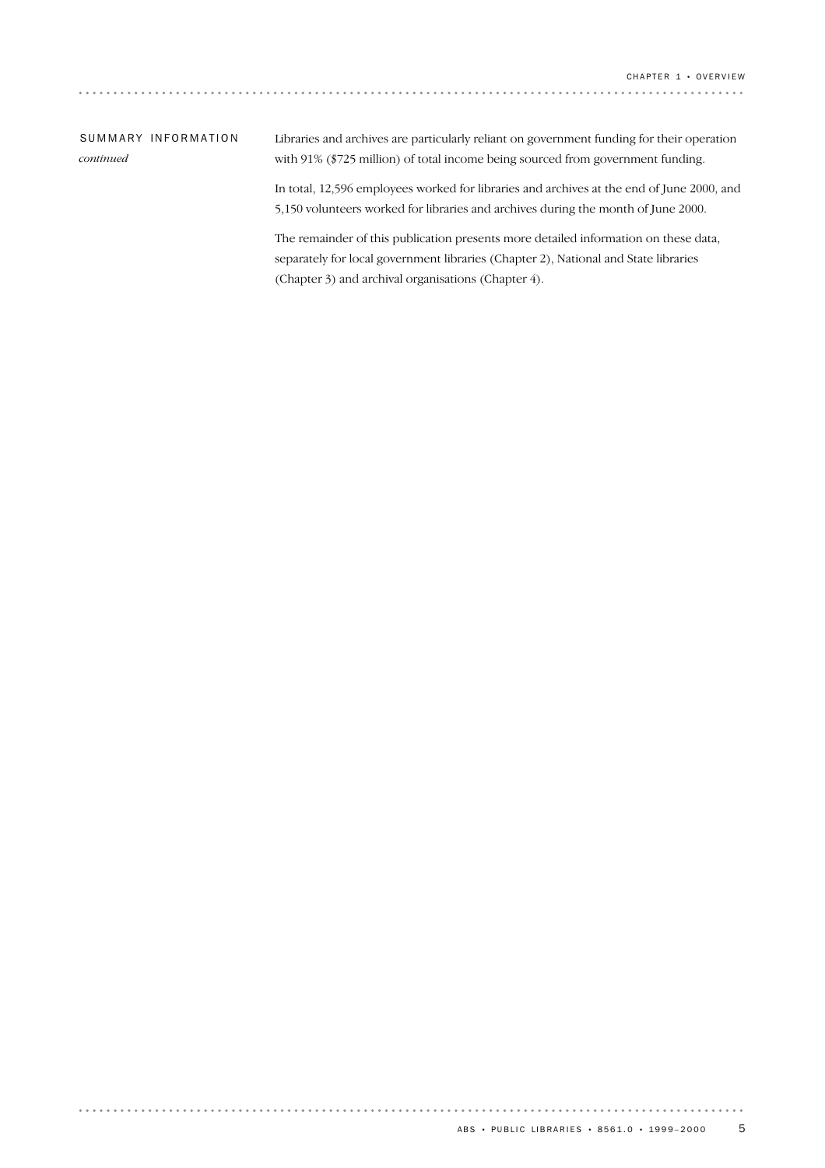### SUMMARY INFORMATION *continued*

. . . . . . . . . .

Libraries and archives are particularly reliant on government funding for their operation with 91% (\$725 million) of total income being sourced from government funding.

In total, 12,596 employees worked for libraries and archives at the end of June 2000, and 5,150 volunteers worked for libraries and archives during the month of June 2000.

The remainder of this publication presents more detailed information on these data, separately for local government libraries (Chapter 2), National and State libraries (Chapter 3) and archival organisations (Chapter 4).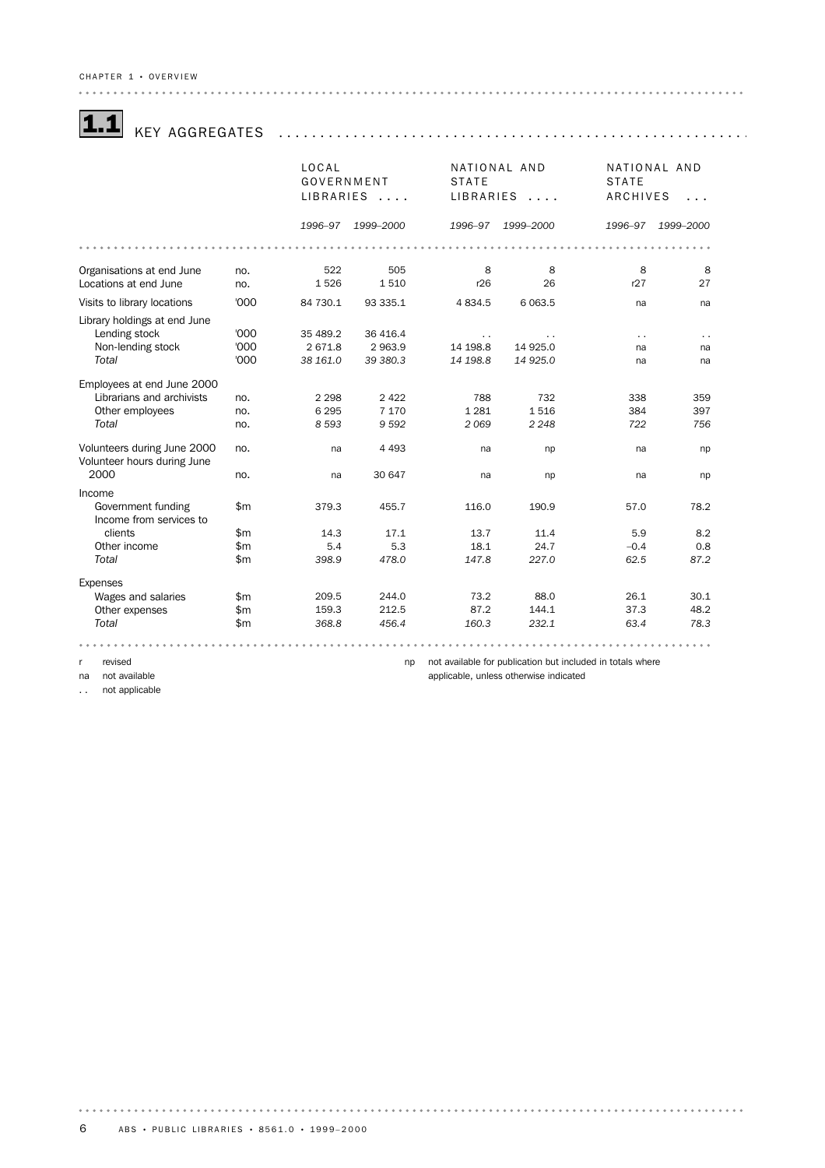|                                                            |              | LOCAL      |           | NATIONAL AND         |                       | NATIONAL AND         |           |
|------------------------------------------------------------|--------------|------------|-----------|----------------------|-----------------------|----------------------|-----------|
|                                                            |              | GOVERNMENT |           | <b>STATE</b>         |                       | <b>STATE</b>         |           |
|                                                            |              |            | LIBRARIES | LIBRARIES            | $\cdot \cdot \cdot$ . | ARCHIVES             | .         |
|                                                            |              |            |           |                      |                       |                      |           |
|                                                            |              | 1996-97    | 1999-2000 | 1996-97              | 1999-2000             | 1996-97              | 1999-2000 |
|                                                            |              |            |           |                      |                       |                      |           |
| Organisations at end June                                  | no.          | 522        | 505       | 8                    | 8                     | 8                    | 8         |
| Locations at end June                                      | no.          | 1526       | 1510      | r26                  | 26                    | r27                  | 27        |
| Visits to library locations                                | '000         | 84 730.1   | 93 335.1  | 4834.5               | 6 0 63.5              | na                   | na        |
| Library holdings at end June                               |              |            |           |                      |                       |                      |           |
| Lending stock                                              | '000         | 35 489.2   | 36 416.4  | $\ddot{\phantom{0}}$ |                       | $\ddot{\phantom{a}}$ | .,        |
| Non-lending stock                                          | '000         | 2671.8     | 2963.9    | 14 198.8             | 14 9 25.0             | na                   | na        |
| Total                                                      | '000         | 38 161.0   | 39 380.3  | 14 198.8             | 14 925.0              | na                   | na        |
| Employees at end June 2000                                 |              |            |           |                      |                       |                      |           |
| Librarians and archivists                                  | no.          | 2 2 9 8    | 2 4 2 2   | 788                  | 732                   | 338                  | 359       |
| Other employees                                            | no.          | 6 2 9 5    | 7 1 7 0   | 1 2 8 1              | 1516                  | 384                  | 397       |
| Total                                                      | no.          | 8 5 9 3    | 9592      | 2 0 6 9              | 2 2 4 8               | 722                  | 756       |
| Volunteers during June 2000<br>Volunteer hours during June | no.          | na         | 4 4 9 3   | na                   | np                    | na                   | np        |
| 2000                                                       | no.          | na         | 30 647    | na                   | np                    | na                   | np        |
| Income                                                     |              |            |           |                      |                       |                      |           |
| Government funding<br>Income from services to              | \$m\$        | 379.3      | 455.7     | 116.0                | 190.9                 | 57.0                 | 78.2      |
| clients                                                    | \$m          | 14.3       | 17.1      | 13.7                 | 11.4                  | 5.9                  | 8.2       |
| Other income                                               | \$m          | 5.4        | 5.3       | 18.1                 | 24.7                  | $-0.4$               | 0.8       |
| Total                                                      | \$m          | 398.9      | 478.0     | 147.8                | 227.0                 | 62.5                 | 87.2      |
| Expenses                                                   |              |            |           |                      |                       |                      |           |
| Wages and salaries                                         | \$m          | 209.5      | 244.0     | 73.2                 | 88.0                  | 26.1                 | 30.1      |
| Other expenses                                             | $\mathsf{m}$ | 159.3      | 212.5     | 87.2                 | 144.1                 | 37.3                 | 48.2      |
| Total                                                      | $\mathsf{m}$ | 368.8      | 456.4     | 160.3                | 232.1                 | 63.4                 | 78.3      |

. . . . . . . .

r revised

 $\alpha$  is a set  $\alpha$ 

na not available

.. not applicable

np not available for publication but included in totals where applicable, unless otherwise indicated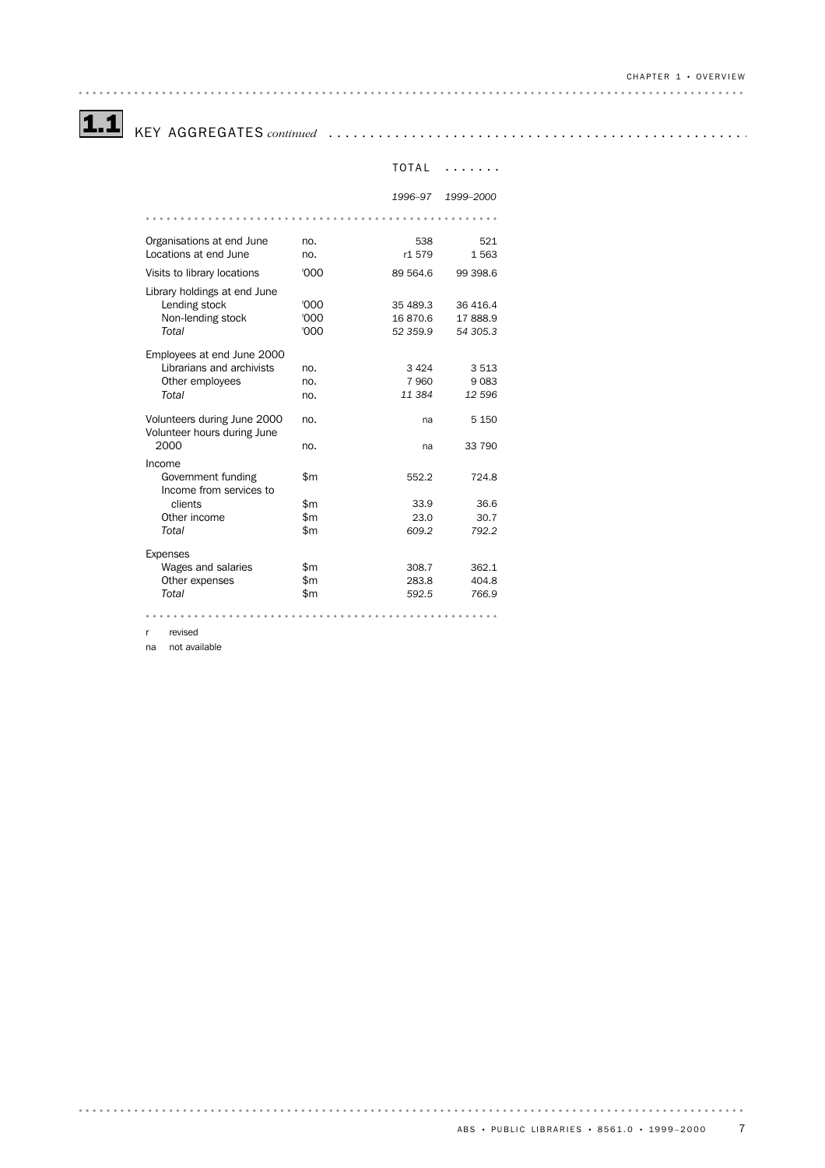# 1.1 KEY AGGREGATES *continued* .................................................. .

|                                                            |      | TOTAL    |           |  |  |  |  |
|------------------------------------------------------------|------|----------|-----------|--|--|--|--|
|                                                            |      | 1996-97  | 1999-2000 |  |  |  |  |
|                                                            |      |          |           |  |  |  |  |
| Organisations at end June                                  | no.  | 538      | 521       |  |  |  |  |
| Locations at end June                                      | no.  | r1 579   | 1563      |  |  |  |  |
| Visits to library locations                                | '000 | 89 564.6 | 99 398.6  |  |  |  |  |
| Library holdings at end June                               |      |          |           |  |  |  |  |
| Lending stock                                              | '000 | 35 489.3 | 36 416.4  |  |  |  |  |
| Non-lending stock                                          | '000 | 16870.6  | 17888.9   |  |  |  |  |
| Total                                                      | '000 | 52 359.9 | 54 305.3  |  |  |  |  |
| Employees at end June 2000                                 |      |          |           |  |  |  |  |
| Librarians and archivists                                  | no.  | 3424     | 3513      |  |  |  |  |
| Other employees                                            | no.  | 7 9 6 0  | 9083      |  |  |  |  |
| Total                                                      | no.  | 11 384   | 12 596    |  |  |  |  |
| Volunteers during June 2000<br>Volunteer hours during June | no.  | na       | 5 1 5 0   |  |  |  |  |
| 2000                                                       | no.  | na       | 33 790    |  |  |  |  |
| Income                                                     |      |          |           |  |  |  |  |
| Government funding<br>Income from services to              | \$m  | 552.2    | 724.8     |  |  |  |  |
| clients                                                    | \$m  | 33.9     | 36.6      |  |  |  |  |
| Other income                                               | \$m  | 23.0     | 30.7      |  |  |  |  |
| Total                                                      | \$m  | 609.2    | 792.2     |  |  |  |  |
| <b>Expenses</b>                                            |      |          |           |  |  |  |  |
| Wages and salaries                                         | \$m  | 308.7    | 362.1     |  |  |  |  |
| Other expenses                                             | \$m  | 283.8    | 404.8     |  |  |  |  |
| Total                                                      | \$m  | 592.5    | 766.9     |  |  |  |  |
|                                                            |      |          |           |  |  |  |  |

r revised

na not available

. . . . . . . . . . . . . . . . . . . .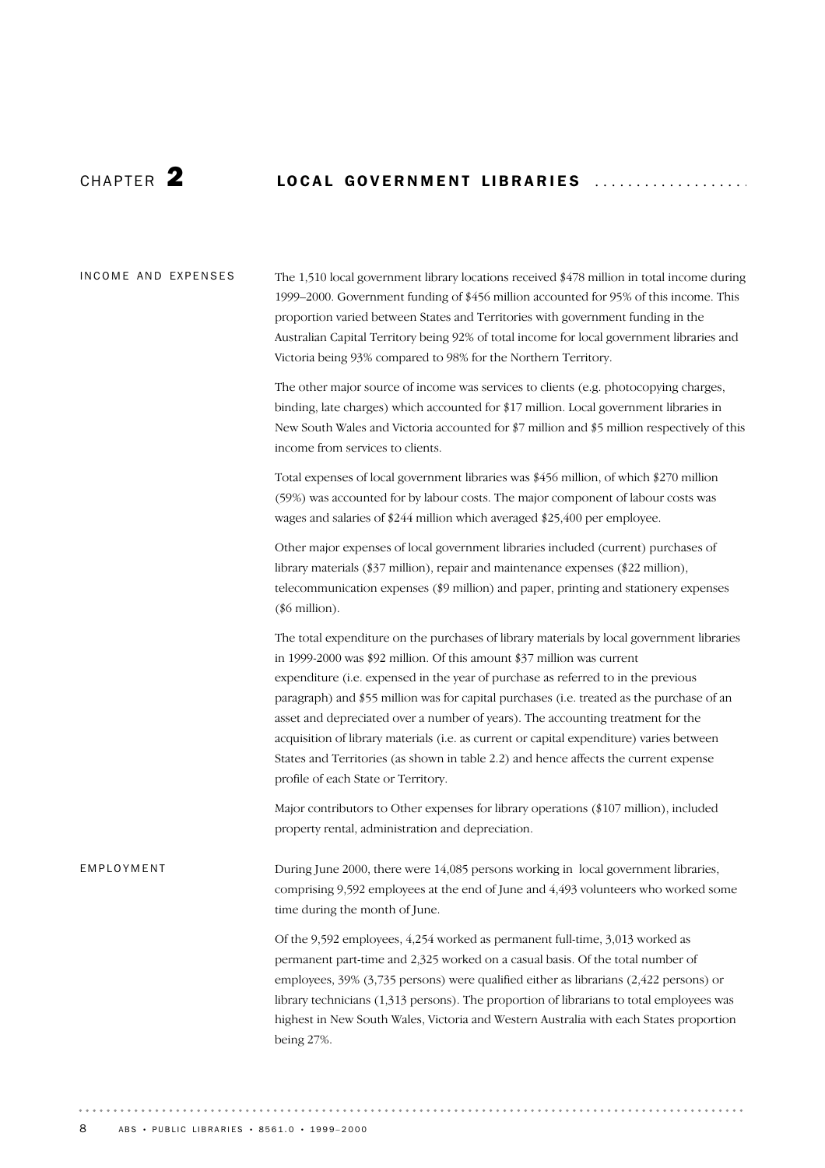### CHAPTER 2 LOCAL GOVERNMENT LIBRARIES ...................

The 1,510 local government library locations received \$478 million in total income during 1999–2000. Government funding of \$456 million accounted for 95% of this income. This proportion varied between States and Territories with government funding in the Australian Capital Territory being 92% of total income for local government libraries and Victoria being 93% compared to 98% for the Northern Territory. INCOME AND EXPENSES

> The other major source of income was services to clients (e.g. photocopying charges, binding, late charges) which accounted for \$17 million. Local government libraries in New South Wales and Victoria accounted for \$7 million and \$5 million respectively of this income from services to clients.

Total expenses of local government libraries was \$456 million, of which \$270 million (59%) was accounted for by labour costs. The major component of labour costs was wages and salaries of \$244 million which averaged \$25,400 per employee.

Other major expenses of local government libraries included (current) purchases of library materials (\$37 million), repair and maintenance expenses (\$22 million), telecommunication expenses (\$9 million) and paper, printing and stationery expenses (\$6 million).

The total expenditure on the purchases of library materials by local government libraries in 1999-2000 was \$92 million. Of this amount \$37 million was current expenditure (i.e. expensed in the year of purchase as referred to in the previous paragraph) and \$55 million was for capital purchases (i.e. treated as the purchase of an asset and depreciated over a number of years). The accounting treatment for the acquisition of library materials (i.e. as current or capital expenditure) varies between States and Territories (as shown in table 2.2) and hence affects the current expense profile of each State or Territory.

Major contributors to Other expenses for library operations (\$107 million), included property rental, administration and depreciation.

During June 2000, there were 14,085 persons working in local government libraries, comprising 9,592 employees at the end of June and 4,493 volunteers who worked some time during the month of June. EMPLOYMENT

> Of the 9,592 employees, 4,254 worked as permanent full-time, 3,013 worked as permanent part-time and 2,325 worked on a casual basis. Of the total number of employees, 39% (3,735 persons) were qualified either as librarians (2,422 persons) or library technicians (1,313 persons). The proportion of librarians to total employees was highest in New South Wales, Victoria and Western Australia with each States proportion being 27%.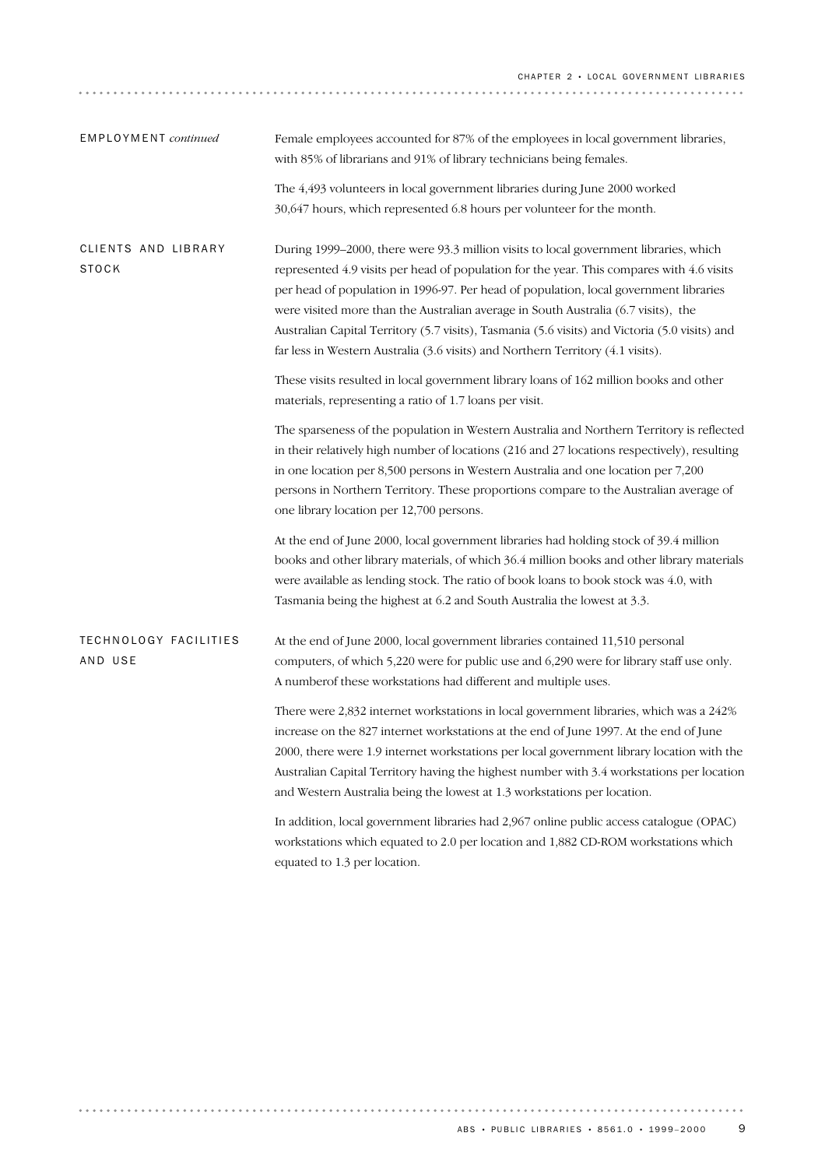| EMPLOYMENT continued                | Female employees accounted for 87% of the employees in local government libraries,<br>with 85% of librarians and 91% of library technicians being females.                                                                                                                                                                                                                                                                                                                                                                                             |
|-------------------------------------|--------------------------------------------------------------------------------------------------------------------------------------------------------------------------------------------------------------------------------------------------------------------------------------------------------------------------------------------------------------------------------------------------------------------------------------------------------------------------------------------------------------------------------------------------------|
|                                     | The 4,493 volunteers in local government libraries during June 2000 worked<br>30,647 hours, which represented 6.8 hours per volunteer for the month.                                                                                                                                                                                                                                                                                                                                                                                                   |
| CLIENTS AND LIBRARY<br><b>STOCK</b> | During 1999–2000, there were 93.3 million visits to local government libraries, which<br>represented 4.9 visits per head of population for the year. This compares with 4.6 visits<br>per head of population in 1996-97. Per head of population, local government libraries<br>were visited more than the Australian average in South Australia (6.7 visits), the<br>Australian Capital Territory (5.7 visits), Tasmania (5.6 visits) and Victoria (5.0 visits) and<br>far less in Western Australia (3.6 visits) and Northern Territory (4.1 visits). |
|                                     | These visits resulted in local government library loans of 162 million books and other<br>materials, representing a ratio of 1.7 loans per visit.                                                                                                                                                                                                                                                                                                                                                                                                      |
|                                     | The sparseness of the population in Western Australia and Northern Territory is reflected<br>in their relatively high number of locations (216 and 27 locations respectively), resulting<br>in one location per 8,500 persons in Western Australia and one location per 7,200<br>persons in Northern Territory. These proportions compare to the Australian average of<br>one library location per 12,700 persons.                                                                                                                                     |
|                                     | At the end of June 2000, local government libraries had holding stock of 39.4 million<br>books and other library materials, of which 36.4 million books and other library materials<br>were available as lending stock. The ratio of book loans to book stock was 4.0, with<br>Tasmania being the highest at 6.2 and South Australia the lowest at 3.3.                                                                                                                                                                                                |
| TECHNOLOGY FACILITIES<br>AND USE    | At the end of June 2000, local government libraries contained 11,510 personal<br>computers, of which 5,220 were for public use and 6,290 were for library staff use only.<br>A numberof these workstations had different and multiple uses.                                                                                                                                                                                                                                                                                                            |
|                                     | There were 2,832 internet workstations in local government libraries, which was a 242%<br>increase on the 827 internet workstations at the end of June 1997. At the end of June<br>2000, there were 1.9 internet workstations per local government library location with the<br>Australian Capital Territory having the highest number with 3.4 workstations per location<br>and Western Australia being the lowest at 1.3 workstations per location.                                                                                                  |
|                                     | In addition, local government libraries had 2,967 online public access catalogue (OPAC)<br>workstations which equated to 2.0 per location and 1,882 CD-ROM workstations which<br>equated to 1.3 per location.                                                                                                                                                                                                                                                                                                                                          |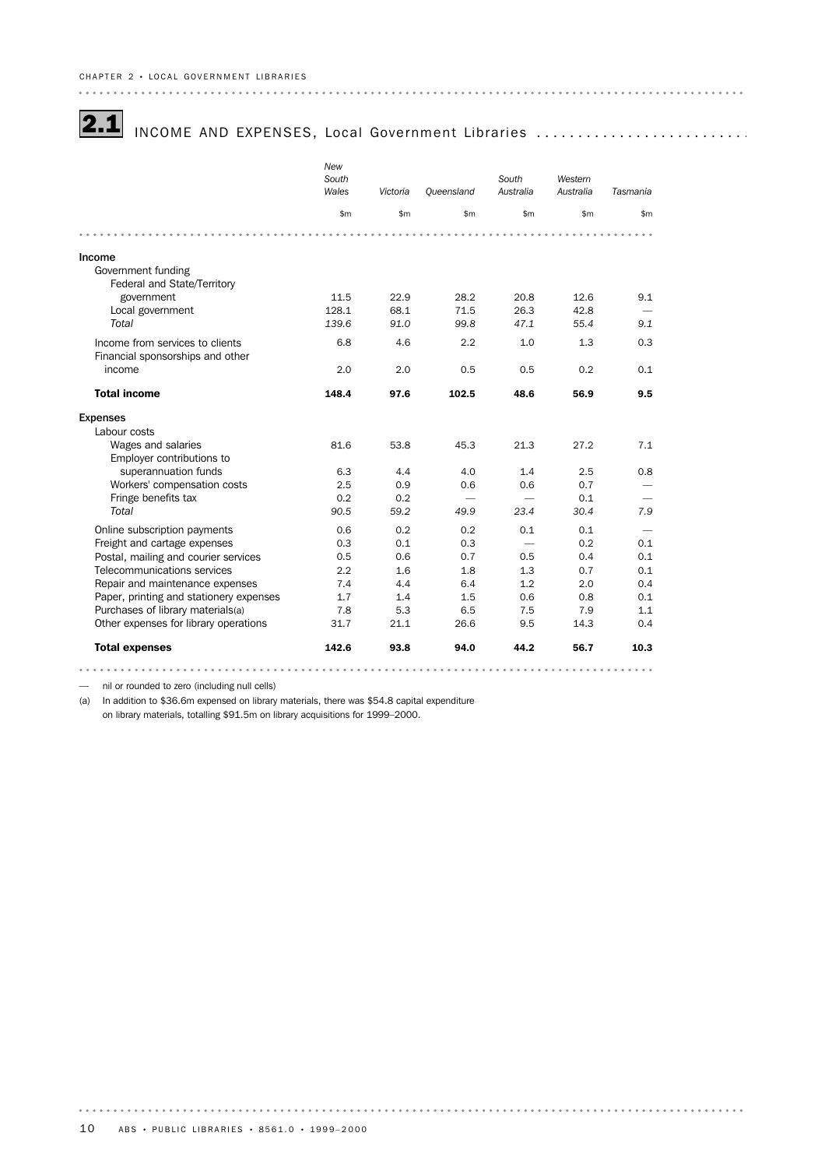## 2.1 INCOME AND EXPENSES, Local Government Libraries ............................

|                                         | New<br>South<br>Wales | Victoria | Queensland | South<br>Australia       | Western<br>Australia | Tasmania      |
|-----------------------------------------|-----------------------|----------|------------|--------------------------|----------------------|---------------|
|                                         | \$m\$                 | \$m      | \$m\$      | \$m                      | \$m                  | $\mathsf{Sm}$ |
|                                         |                       |          |            |                          |                      |               |
| Income                                  |                       |          |            |                          |                      |               |
| Government funding                      |                       |          |            |                          |                      |               |
| Federal and State/Territory             |                       |          |            |                          |                      |               |
| government                              | 11.5                  | 22.9     | 28.2       | 20.8                     | 12.6                 | 9.1           |
| Local government                        | 128.1                 | 68.1     | 71.5       | 26.3                     | 42.8                 |               |
| Total                                   | 139.6                 | 91.0     | 99.8       | 47.1                     | 55.4                 | 9.1           |
| Income from services to clients         | 6.8                   | 4.6      | 2.2        | 1.0                      | 1.3                  | 0.3           |
| Financial sponsorships and other        |                       |          |            |                          |                      |               |
| income                                  | 2.0                   | 2.0      | 0.5        | 0.5                      | 0.2                  | 0.1           |
| <b>Total income</b>                     | 148.4                 | 97.6     | 102.5      | 48.6                     | 56.9                 | 9.5           |
| <b>Expenses</b>                         |                       |          |            |                          |                      |               |
| Labour costs                            |                       |          |            |                          |                      |               |
| Wages and salaries                      | 81.6                  | 53.8     | 45.3       | 21.3                     | 27.2                 | 7.1           |
| Employer contributions to               |                       |          |            |                          |                      |               |
| superannuation funds                    | 6.3                   | 4.4      | 4.0        | 1.4                      | 2.5                  | 0.8           |
| Workers' compensation costs             | 2.5                   | 0.9      | 0.6        | 0.6                      | 0.7                  |               |
| Fringe benefits tax                     | 0.2                   | 0.2      |            |                          | 0.1                  |               |
| Total                                   | 90.5                  | 59.2     | 49.9       | 23.4                     | 30.4                 | 7.9           |
| Online subscription payments            | 0.6                   | 0.2      | 0.2        | 0.1                      | 0.1                  |               |
| Freight and cartage expenses            | 0.3                   | 0.1      | 0.3        | $\overline{\phantom{0}}$ | 0.2                  | 0.1           |
| Postal, mailing and courier services    | 0.5                   | 0.6      | 0.7        | 0.5                      | 0.4                  | 0.1           |
| Telecommunications services             | 2.2                   | 1.6      | 1.8        | 1.3                      | 0.7                  | 0.1           |
| Repair and maintenance expenses         | 7.4                   | 4.4      | 6.4        | 1.2                      | 2.0                  | 0.4           |
| Paper, printing and stationery expenses | 1.7                   | 1.4      | 1.5        | 0.6                      | 0.8                  | 0.1           |
| Purchases of library materials(a)       | 7.8                   | 5.3      | 6.5        | 7.5                      | 7.9                  | 1.1           |
| Other expenses for library operations   | 31.7                  | 21.1     | 26.6       | 9.5                      | 14.3                 | 0.4           |
| <b>Total expenses</b>                   | 142.6                 | 93.8     | 94.0       | 44.2                     | 56.7                 | 10.3          |
|                                         |                       |          |            |                          |                      |               |

— nil or rounded to zero (including null cells)

(a) In addition to \$36.6m expensed on library materials, there was \$54.8 capital expenditure on library materials, totalling \$91.5m on library acquisitions for 1999–2000.

 $\alpha$  ,  $\alpha$  ,  $\alpha$  ,  $\alpha$  ,  $\alpha$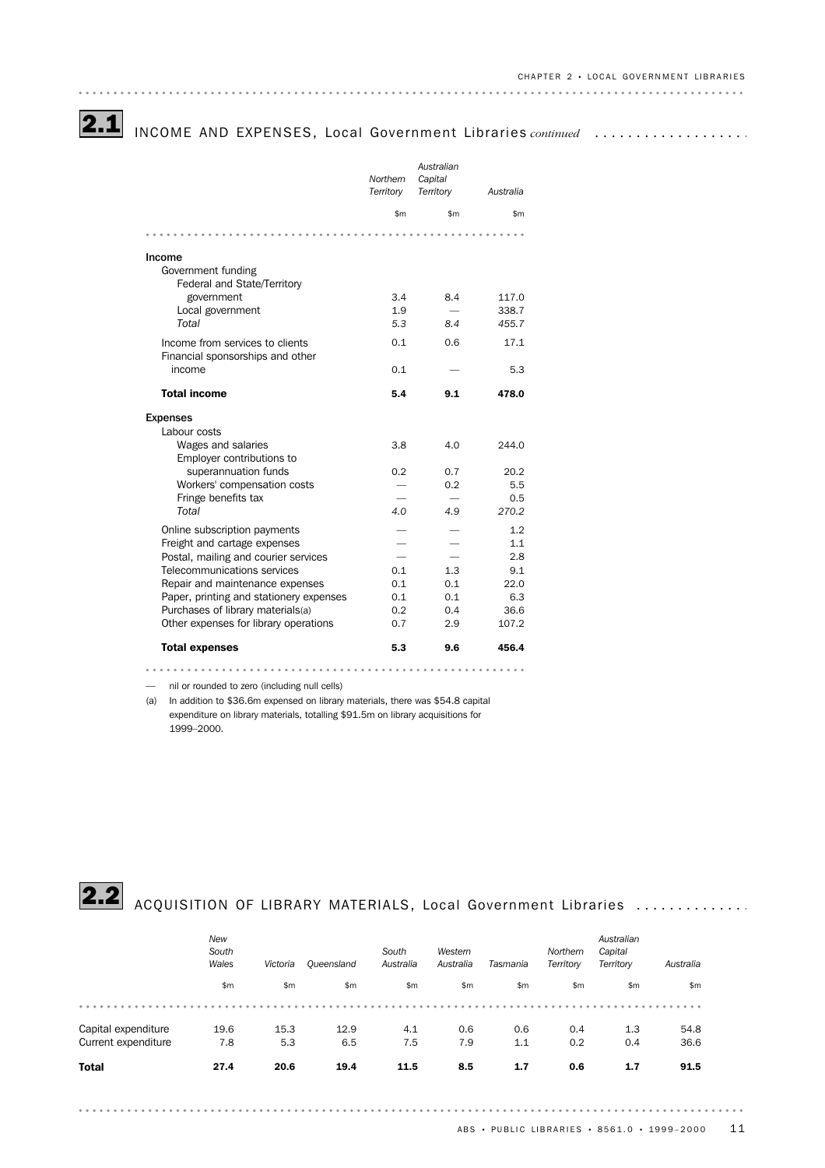## **2.1** INCOME AND EXPENSES, Local Government Libraries continued ...................

|                                                                            | Northern<br>Territory | Australian<br>Capital<br>Territory | Australia   |
|----------------------------------------------------------------------------|-----------------------|------------------------------------|-------------|
|                                                                            | \$m                   | \$m                                | \$m         |
|                                                                            |                       |                                    |             |
| Income                                                                     |                       |                                    |             |
| Government funding<br>Federal and State/Territory                          |                       |                                    |             |
| government                                                                 | 3.4                   | 8.4                                | 117.0       |
| Local government                                                           | 1.9                   |                                    | 338.7       |
| Total                                                                      | 5.3                   | 8.4                                | 455.7       |
| Income from services to clients<br>Financial sponsorships and other        | 0.1                   | 0.6                                | 17.1        |
| income                                                                     | 0.1                   |                                    | 5.3         |
| <b>Total income</b>                                                        | 5.4                   | 9.1                                | 478.0       |
| <b>Expenses</b>                                                            |                       |                                    |             |
| Labour costs                                                               |                       |                                    |             |
| Wages and salaries<br>Employer contributions to                            | 3.8                   | 4.0                                | 244.0       |
| superannuation funds                                                       | 0.2                   | 0.7                                | 20.2        |
| Workers' compensation costs                                                |                       | 0.2                                | 5.5         |
| Fringe benefits tax                                                        |                       |                                    | 0.5         |
| Total                                                                      | 4.0                   | 4.9                                | 270.2       |
| Online subscription payments                                               |                       |                                    | 1.2         |
| Freight and cartage expenses                                               |                       |                                    | 1.1         |
| Postal, mailing and courier services                                       |                       |                                    | 2.8         |
| Telecommunications services                                                | 0.1                   | 1.3                                | 9.1         |
| Repair and maintenance expenses                                            | 0.1                   | 0.1                                | 22.0        |
| Paper, printing and stationery expenses                                    | 0.1<br>0.2            | 0.1<br>0.4                         | 6.3<br>36.6 |
| Purchases of library materials(a)<br>Other expenses for library operations | 0.7                   | 2.9                                | 107.2       |
| <b>Total expenses</b>                                                      | 5.3                   | 9.6                                | 456.4       |

— nil or rounded to zero (including null cells)

(a) In addition to \$36.6m expensed on library materials, there was \$54.8 capital expenditure on library materials, totalling \$91.5m on library acquisitions for 1999–2000.



## 2.2 ACQUISITION OF LIBRARY MATERIALS, Local Government Libraries ..............

|                     | New<br>South<br>Wales | Victoria | Queensland | South<br>Australia | Western<br>Australia | Tasmania | Northern<br>Territory | Australian<br>Capital<br>Territory | Australia |
|---------------------|-----------------------|----------|------------|--------------------|----------------------|----------|-----------------------|------------------------------------|-----------|
|                     | \$m                   | \$m      | \$m        | \$m\$              | \$m                  | \$m      | \$m\$                 | \$m                                | \$m\$     |
|                     |                       |          |            |                    |                      |          |                       |                                    |           |
| Capital expenditure | 19.6                  | 15.3     | 12.9       | 4.1                | 0.6                  | 0.6      | 0.4                   | 1.3                                | 54.8      |
| Current expenditure | 7.8                   | 5.3      | 6.5        | 7.5                | 7.9                  | 1.1      | 0.2                   | 0.4                                | 36.6      |
| <b>Total</b>        | 27.4                  | 20.6     | 19.4       | 11.5               | 8.5                  | 1.7      | 0.6                   | 1.7                                | 91.5      |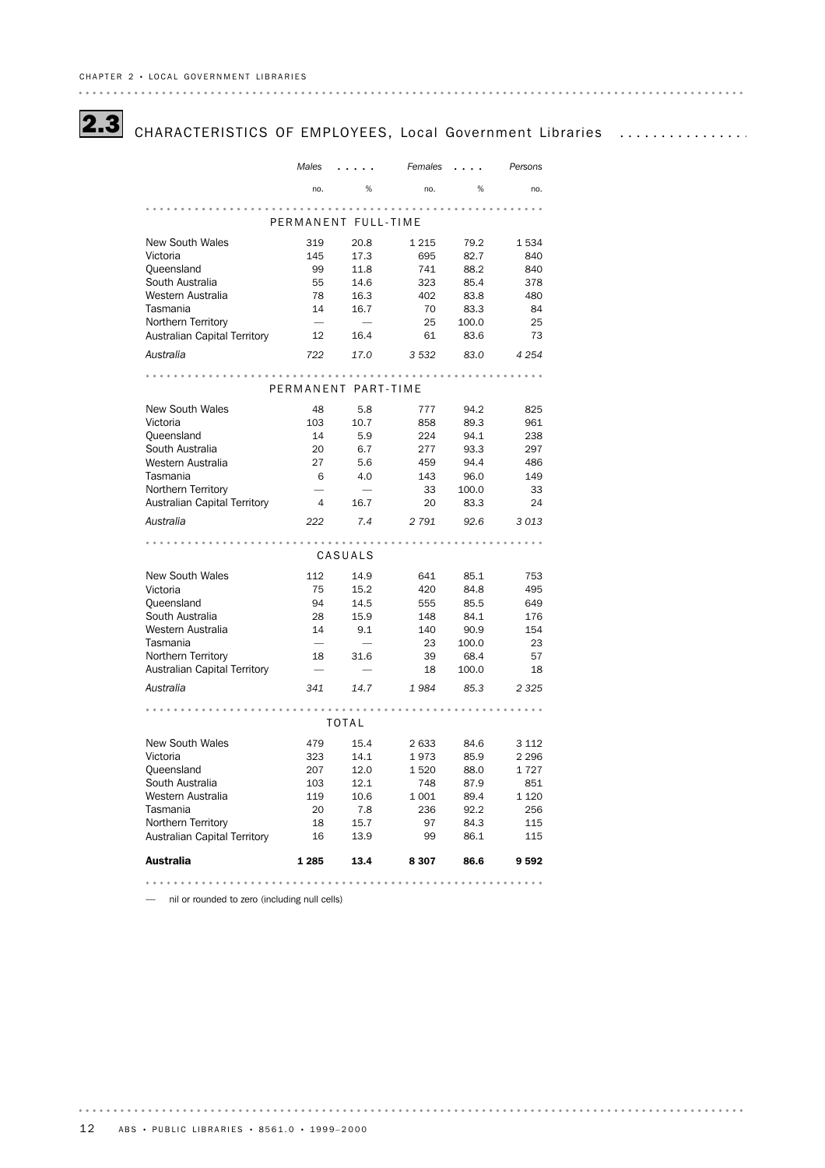

# 2.3 CHARACTERISTICS OF EMPLOYEES, Local Government Libraries .................

|                                     | Males                    |                          | Females           |       | Persons |
|-------------------------------------|--------------------------|--------------------------|-------------------|-------|---------|
|                                     | no.                      | %                        | no.               | %     | no.     |
|                                     |                          |                          | $- - - - - - - -$ |       |         |
|                                     |                          | PERMANENT FULL-TIME      |                   |       |         |
| <b>New South Wales</b>              | 319                      | 20.8                     | 1 2 1 5           | 79.2  | 1534    |
| Victoria                            | 145                      | 17.3                     | 695               | 82.7  | 840     |
| Queensland                          | 99                       | 11.8                     | 741               | 88.2  | 840     |
| South Australia                     | 55                       | 14.6                     | 323               | 85.4  | 378     |
| Western Australia                   | 78                       | 16.3                     | 402               | 83.8  | 480     |
| Tasmania                            | 14                       | 16.7                     | 70                | 83.3  | 84      |
| Northern Territory                  | $\overline{\phantom{0}}$ | ÷.                       | 25                | 100.0 | 25      |
| <b>Australian Capital Territory</b> | 12                       | 16.4                     | 61                | 83.6  | 73      |
| Australia                           | 722                      | 17.0                     | 3 5 3 2           | 83.0  | 4 2 5 4 |
|                                     |                          |                          |                   |       |         |
|                                     |                          | PERMANENT PART-TIME      |                   |       |         |
| <b>New South Wales</b>              | 48                       | 5.8                      | 777               | 94.2  | 825     |
| Victoria                            | 103                      | 10.7                     | 858               | 89.3  | 961     |
| Queensland                          | 14                       | 5.9                      | 224               | 94.1  | 238     |
| South Australia                     | 20                       | 6.7                      | 277               | 93.3  | 297     |
| Western Australia                   | 27                       | 5.6                      | 459               | 94.4  | 486     |
| Tasmania                            | 6                        | 4.0                      | 143               | 96.0  | 149     |
| Northern Territory                  |                          | $\overline{\phantom{0}}$ | 33                | 100.0 | 33      |
| <b>Australian Capital Territory</b> | 4                        | 16.7                     | 20                | 83.3  | 24      |
| Australia                           | 222                      | 7.4                      | 2 7 9 1           | 92.6  | 3013    |
|                                     |                          |                          |                   |       |         |
|                                     |                          | CASUALS                  |                   |       |         |
| <b>New South Wales</b>              | 112                      | 14.9                     | 641               | 85.1  | 753     |
| Victoria                            | 75                       | 15.2                     | 420               | 84.8  | 495     |
| Queensland                          | 94                       | 14.5                     | 555               | 85.5  | 649     |
| South Australia                     | 28                       | 15.9                     | 148               | 84.1  | 176     |
| Western Australia                   | 14                       | 9.1                      | 140               | 90.9  | 154     |
| Tasmania                            |                          |                          | 23                | 100.0 | 23      |
| Northern Territory                  | 18                       | 31.6                     | 39                | 68.4  | 57      |
| <b>Australian Capital Territory</b> |                          |                          | 18                | 100.0 | 18      |
| Australia                           | 341                      | 14.7                     | 1984              | 85.3  | 2 3 2 5 |
|                                     |                          |                          |                   |       |         |
|                                     |                          | <b>TOTAL</b>             |                   |       |         |
| <b>New South Wales</b>              | 479                      | 15.4                     | 2 6 3 3           | 84.6  | 3 1 1 2 |
| Victoria                            | 323                      | 14.1                     | 1973              | 85.9  | 2 2 9 6 |
| Queensland                          | 207                      | 12.0                     | 1520              | 88.0  | 1727    |
| South Australia                     | 103                      | 12.1                     | 748               | 87.9  | 851     |
| Western Australia                   | 119                      | 10.6                     | 1 0 0 1           | 89.4  | 1 1 2 0 |
| Tasmania                            | 20                       | 7.8                      | 236               | 92.2  | 256     |
| Northern Territory                  | 18                       | 15.7                     | 97                | 84.3  | 115     |
| <b>Australian Capital Territory</b> | 16                       | 13.9                     | 99                | 86.1  | 115     |
| <b>Australia</b>                    | 1 285                    | 13.4                     | 8 3 0 7           | 86.6  | 9592    |
|                                     |                          |                          |                   |       |         |
|                                     |                          |                          |                   |       |         |

— nil or rounded to zero (including null cells)

 $\begin{array}{cccccccccccccc} \bullet & \bullet & \bullet & \bullet & \bullet & \bullet & \bullet & \bullet & \bullet \end{array}$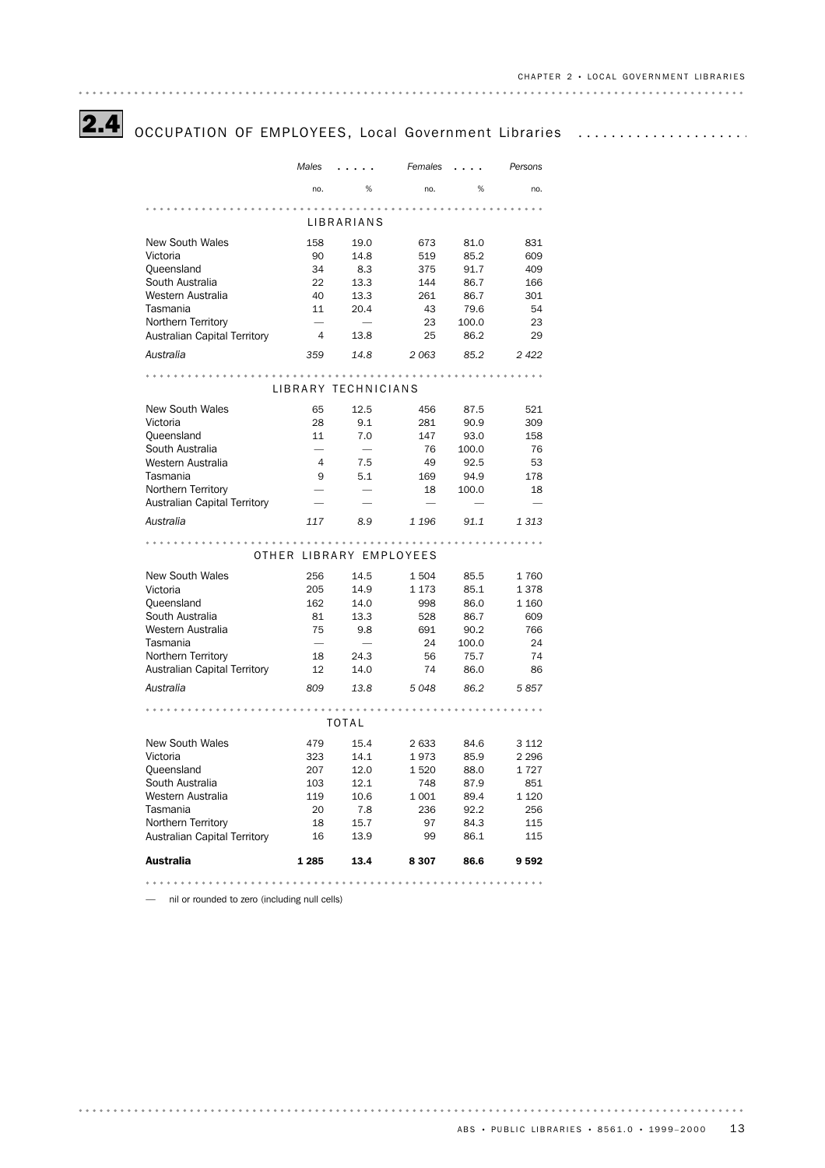# 2.4 OCCUPATION OF EMPLOYEES, Local Government Libraries .......................

|                                                  | Males                                 |                     | Females                 |              | Persons    |  |  |  |  |
|--------------------------------------------------|---------------------------------------|---------------------|-------------------------|--------------|------------|--|--|--|--|
|                                                  | no.                                   | %                   | no.                     | %            | no.        |  |  |  |  |
|                                                  |                                       |                     |                         |              |            |  |  |  |  |
|                                                  |                                       | LIBRARIANS          |                         |              |            |  |  |  |  |
| <b>New South Wales</b>                           | 158                                   | 19.0                | 673                     | 81.0         | 831        |  |  |  |  |
| Victoria                                         | 90                                    | 14.8                | 519                     | 85.2         | 609        |  |  |  |  |
| Queensland                                       | 34                                    | 8.3                 | 375                     | 91.7         | 409        |  |  |  |  |
| South Australia                                  | 22                                    | 13.3                | 144                     | 86.7         | 166        |  |  |  |  |
| Western Australia                                | 40                                    | 13.3                | 261                     | 86.7         | 301        |  |  |  |  |
| Tasmania                                         | 11                                    | 20.4                | 43                      | 79.6         | 54         |  |  |  |  |
| Northern Territory                               | 4                                     |                     | 23                      | 100.0        | 23         |  |  |  |  |
| <b>Australian Capital Territory</b><br>Australia | 359                                   | 13.8<br>14.8        | 25<br>2063              | 86.2<br>85.2 | 29<br>2422 |  |  |  |  |
|                                                  |                                       |                     |                         |              |            |  |  |  |  |
|                                                  |                                       | LIBRARY TECHNICIANS |                         |              |            |  |  |  |  |
|                                                  |                                       |                     |                         |              |            |  |  |  |  |
| <b>New South Wales</b>                           | 65                                    | 12.5                | 456                     | 87.5         | 521        |  |  |  |  |
| Victoria                                         | 28                                    | 9.1                 | 281                     | 90.9         | 309        |  |  |  |  |
| Queensland                                       | 11                                    | 7.0                 | 147                     | 93.0         | 158        |  |  |  |  |
| South Australia<br>Western Australia             | -                                     |                     | 76                      | 100.0        | 76         |  |  |  |  |
| Tasmania                                         | $\overline{4}$<br>9                   | 7.5<br>5.1          | 49                      | 92.5<br>94.9 | 53<br>178  |  |  |  |  |
| Northern Territory                               |                                       | ÷.                  | 169<br>18               | 100.0        | 18         |  |  |  |  |
| <b>Australian Capital Territory</b>              |                                       |                     |                         |              |            |  |  |  |  |
| Australia                                        |                                       |                     |                         |              |            |  |  |  |  |
|                                                  | 117<br>8.9<br>1 1 9 6<br>91.1<br>1313 |                     |                         |              |            |  |  |  |  |
|                                                  |                                       |                     | OTHER LIBRARY EMPLOYEES |              |            |  |  |  |  |
| <b>New South Wales</b>                           | 256                                   | 14.5                | 1 5 0 4                 | 85.5         | 1760       |  |  |  |  |
| Victoria                                         | 205                                   | 14.9                | 1 1 7 3                 | 85.1         | 1378       |  |  |  |  |
| Queensland                                       | 162                                   | 14.0                | 998                     | 86.0         | 1 1 6 0    |  |  |  |  |
| South Australia                                  | 81                                    | 13.3                | 528                     | 86.7         | 609        |  |  |  |  |
| Western Australia                                | 75                                    | 9.8                 | 691                     | 90.2         | 766        |  |  |  |  |
| Tasmania                                         |                                       |                     | 24                      | 100.0        | 24         |  |  |  |  |
| Northern Territory                               | 18                                    | 24.3                | 56                      | 75.7         | 74         |  |  |  |  |
| <b>Australian Capital Territory</b>              | 12                                    | 14.0                | 74                      | 86.0         | 86         |  |  |  |  |
| Australia                                        | 809                                   | 13.8                | 5048                    | 86.2         | 5857       |  |  |  |  |
|                                                  |                                       |                     |                         |              |            |  |  |  |  |
|                                                  |                                       | <b>TOTAL</b>        |                         |              |            |  |  |  |  |
| <b>New South Wales</b>                           | 479                                   | 15.4                | 2 633                   | 84.6         | 3 1 1 2    |  |  |  |  |
| Victoria                                         | 323                                   | 14.1                | 1973                    | 85.9         | 2 296      |  |  |  |  |
| Queensland                                       | 207                                   | 12.0                | 1 5 2 0                 | 88.0         | 1727       |  |  |  |  |
| South Australia                                  | 103                                   | 12.1                | 748                     | 87.9         | 851        |  |  |  |  |
| Western Australia                                | 119                                   | 10.6                | 1 0 0 1                 | 89.4         | 1 1 2 0    |  |  |  |  |
| Tasmania                                         | 20                                    | 7.8                 | 236                     | 92.2         | 256        |  |  |  |  |
| Northern Territory                               | 18                                    | 15.7                | 97                      | 84.3         | 115        |  |  |  |  |
| <b>Australian Capital Territory</b>              | 16                                    | 13.9                | 99                      | 86.1         | 115        |  |  |  |  |
| <b>Australia</b>                                 | 1 2 8 5                               | 13.4                | 8 3 0 7                 | 86.6         | 9 5 9 2    |  |  |  |  |
|                                                  |                                       |                     |                         |              |            |  |  |  |  |

— nil or rounded to zero (including null cells)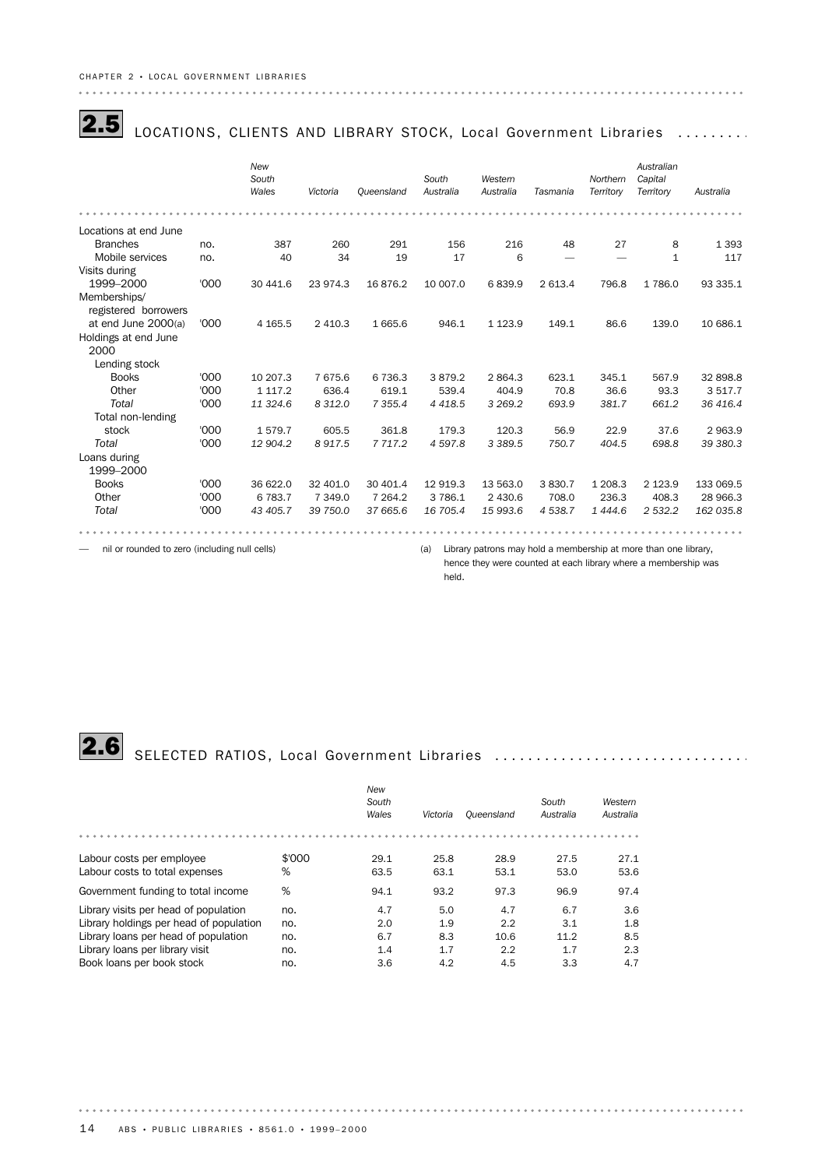|--|

### LOCATIONS, CLIENTS AND LIBRARY STOCK, Local Government Libraries ........

|                       |      | New<br>South<br>Wales | Victoria  | Queensland  | South<br>Australia | Western<br>Australia | Tasmania | Northern<br>Territory | Australian<br>Capital<br>Territory | Australia |
|-----------------------|------|-----------------------|-----------|-------------|--------------------|----------------------|----------|-----------------------|------------------------------------|-----------|
|                       |      |                       |           |             |                    |                      |          |                       |                                    |           |
| Locations at end June |      |                       |           |             |                    |                      |          |                       |                                    |           |
| <b>Branches</b>       | no.  | 387                   | 260       | 291         | 156                | 216                  | 48       | 27                    | 8                                  | 1 3 9 3   |
| Mobile services       | no.  | 40                    | 34        | 19          | 17                 | 6                    |          |                       | 1                                  | 117       |
| Visits during         |      |                       |           |             |                    |                      |          |                       |                                    |           |
| 1999-2000             | '000 | 30 441.6              | 23 974.3  | 16876.2     | 10 007.0           | 6839.9               | 2 613.4  | 796.8                 | 1 786.0                            | 93 335.1  |
| Memberships/          |      |                       |           |             |                    |                      |          |                       |                                    |           |
| registered borrowers  |      |                       |           |             |                    |                      |          |                       |                                    |           |
| at end June 2000(a)   | '000 | 4 1 65.5              | 2 4 1 0.3 | 1665.6      | 946.1              | 1 1 2 3 . 9          | 149.1    | 86.6                  | 139.0                              | 10 686.1  |
| Holdings at end June  |      |                       |           |             |                    |                      |          |                       |                                    |           |
| 2000                  |      |                       |           |             |                    |                      |          |                       |                                    |           |
| Lending stock         |      |                       |           |             |                    |                      |          |                       |                                    |           |
| <b>Books</b>          | '000 | 10 207.3              | 7675.6    | 6 7 3 6.3   | 3879.2             | 2 8 6 4.3            | 623.1    | 345.1                 | 567.9                              | 32 898.8  |
| Other                 | '000 | 1 1 1 7 . 2           | 636.4     | 619.1       | 539.4              | 404.9                | 70.8     | 36.6                  | 93.3                               | 3517.7    |
| Total                 | '000 | 11 324.6              | 8 3 1 2.0 | 7 3 5 5.4   | 4 4 1 8.5          | 3 2 6 9 . 2          | 693.9    | 381.7                 | 661.2                              | 36 416.4  |
| Total non-lending     |      |                       |           |             |                    |                      |          |                       |                                    |           |
| stock                 | '000 | 1579.7                | 605.5     | 361.8       | 179.3              | 120.3                | 56.9     | 22.9                  | 37.6                               | 2 963.9   |
| Total                 | '000 | 12 904.2              | 8917.5    | 7 7 1 7 . 2 | 4597.8             | 3 3 8 9.5            | 750.7    | 404.5                 | 698.8                              | 39 380.3  |
| Loans during          |      |                       |           |             |                    |                      |          |                       |                                    |           |
| 1999-2000             |      |                       |           |             |                    |                      |          |                       |                                    |           |
| <b>Books</b>          | '000 | 36 622.0              | 32 401.0  | 30 401.4    | 12 919.3           | 13 563.0             | 3830.7   | 1 208.3               | 2 1 2 3 . 9                        | 133 069.5 |
| Other                 | '000 | 6 7 8 3.7             | 7 349.0   | 7 2 64.2    | 3786.1             | 2 4 3 0.6            | 708.0    | 236.3                 | 408.3                              | 28 966.3  |
| Total                 | '000 | 43 405.7              | 39 750.0  | 37 665.6    | 16 705.4           | 15 993.6             | 4538.7   | 1 4 4 4 .6            | 2 532.2                            | 162 035.8 |
|                       |      |                       |           |             |                    |                      |          |                       |                                    |           |

— nil or rounded to zero (including null cells) (a) Library patrons may hold a membership at more than one library,

hence they were counted at each library where a membership was held.

. . . . . .

# 2.6 SELECTED RATIOS, Local Government Libraries ................................

|                                         |        | New   |          |            |           |           |
|-----------------------------------------|--------|-------|----------|------------|-----------|-----------|
|                                         |        | South |          |            | South     | Western   |
|                                         |        | Wales | Victoria | Oueensland | Australia | Australia |
|                                         |        |       |          |            |           |           |
| Labour costs per employee               | \$'000 | 29.1  | 25.8     | 28.9       | 27.5      | 27.1      |
| Labour costs to total expenses          | %      | 63.5  | 63.1     | 53.1       | 53.0      | 53.6      |
| Government funding to total income      | %      | 94.1  | 93.2     | 97.3       | 96.9      | 97.4      |
| Library visits per head of population   | no.    | 4.7   | 5.0      | 4.7        | 6.7       | 3.6       |
| Library holdings per head of population | no.    | 2.0   | 1.9      | 2.2        | 3.1       | 1.8       |
| Library loans per head of population    | no.    | 6.7   | 8.3      | 10.6       | 11.2      | 8.5       |
| Library loans per library visit         | no.    | 1.4   | 1.7      | 2.2        | 1.7       | 2.3       |
| Book loans per book stock               | no.    | 3.6   | 4.2      | 4.5        | 3.3       | 4.7       |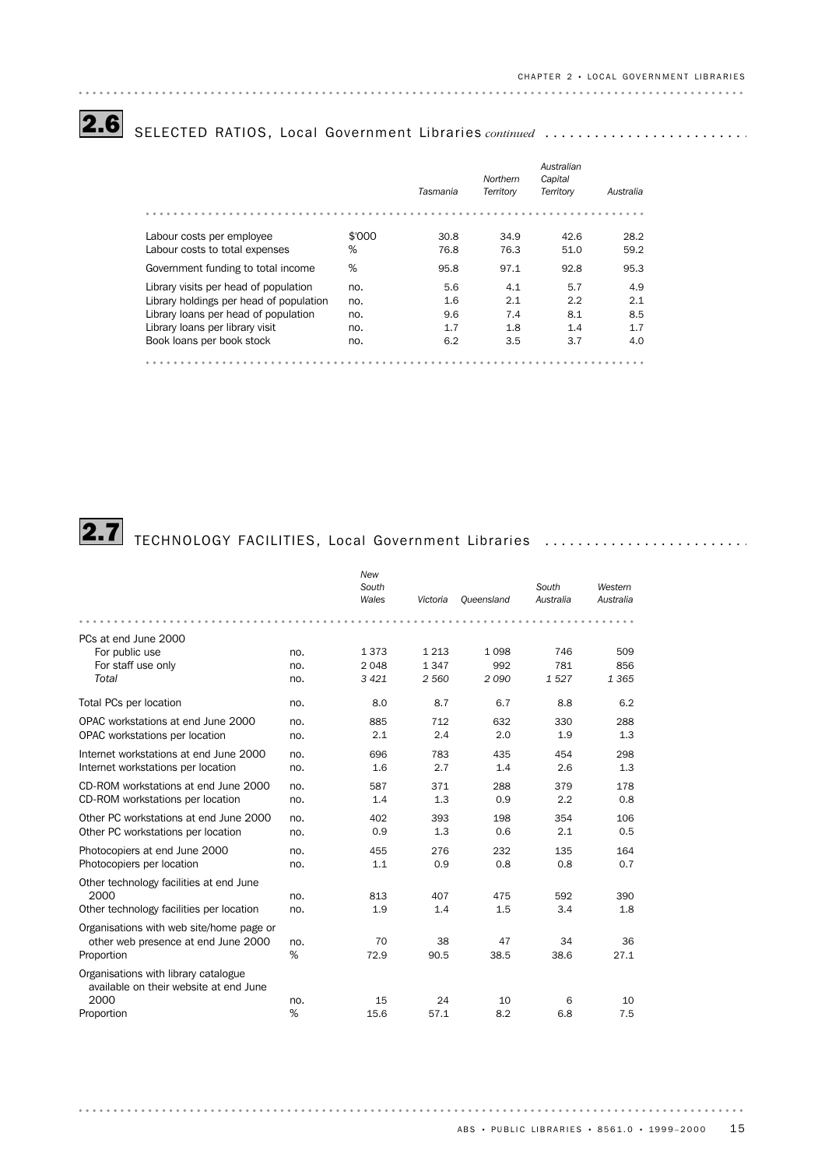2.6 SELECTED RATIOS, Local Government Libraries continued ............................

|                                         |        |          | Northern  | Australian<br>Capital |           |
|-----------------------------------------|--------|----------|-----------|-----------------------|-----------|
|                                         |        | Tasmania | Territory | Territory             | Australia |
|                                         |        |          |           |                       |           |
| Labour costs per employee               | \$'000 | 30.8     | 34.9      | 42.6                  | 28.2      |
| Labour costs to total expenses          | %      | 76.8     | 76.3      | 51.0                  | 59.2      |
| Government funding to total income      | %      | 95.8     | 97.1      | 92.8                  | 95.3      |
| Library visits per head of population   | no.    | 5.6      | 4.1       | 5.7                   | 4.9       |
| Library holdings per head of population | no.    | 1.6      | 2.1       | 2.2                   | 2.1       |
| Library loans per head of population    | no.    | 9.6      | 7.4       | 8.1                   | 8.5       |
| Library loans per library visit         | no.    | 1.7      | 1.8       | 1.4                   | 1.7       |
| Book loans per book stock               | no.    | 6.2      | 3.5       | 3.7                   | 4.0       |
|                                         |        |          |           |                       |           |

# **2.7** TECHNOLOGY FACILITIES, Local Government Libraries .........................

|                                                                                |     | New<br>South<br>Wales | Victoria | Oueensland | South<br>Australia | Western<br>Australia |
|--------------------------------------------------------------------------------|-----|-----------------------|----------|------------|--------------------|----------------------|
|                                                                                |     |                       |          |            |                    |                      |
| PCs at end June 2000                                                           |     |                       |          |            |                    |                      |
| For public use                                                                 | no. | 1373                  | 1 2 1 3  | 1098       | 746                | 509                  |
| For staff use only                                                             | no. | 2 0 4 8               | 1347     | 992        | 781                | 856                  |
| Total                                                                          | no. | 3 4 2 1               | 2 5 6 0  | 2090       | 1527               | 1 3 6 5              |
| Total PCs per location                                                         | no. | 8.0                   | 8.7      | 6.7        | 8.8                | 6.2                  |
| OPAC workstations at end June 2000                                             | no. | 885                   | 712      | 632        | 330                | 288                  |
| OPAC workstations per location                                                 | no. | 2.1                   | 2.4      | 2.0        | 1.9                | 1.3                  |
| Internet workstations at end June 2000                                         | no. | 696                   | 783      | 435        | 454                | 298                  |
| Internet workstations per location                                             | no. | 1.6                   | 2.7      | 1.4        | 2.6                | 1.3                  |
| CD-ROM workstations at end June 2000                                           | no. | 587                   | 371      | 288        | 379                | 178                  |
| CD-ROM workstations per location                                               | no. | 1.4                   | 1.3      | 0.9        | 2.2                | 0.8                  |
| Other PC workstations at end June 2000                                         | no. | 402                   | 393      | 198        | 354                | 106                  |
| Other PC workstations per location                                             | no. | 0.9                   | 1.3      | 0.6        | 2.1                | 0.5                  |
| Photocopiers at end June 2000                                                  | no. | 455                   | 276      | 232        | 135                | 164                  |
| Photocopiers per location                                                      | no. | 1.1                   | 0.9      | 0.8        | 0.8                | 0.7                  |
| Other technology facilities at end June                                        |     |                       |          |            |                    |                      |
| 2000                                                                           | no. | 813                   | 407      | 475        | 592                | 390                  |
| Other technology facilities per location                                       | no. | 1.9                   | 1.4      | 1.5        | 3.4                | 1.8                  |
| Organisations with web site/home page or                                       |     |                       |          |            |                    |                      |
| other web presence at end June 2000                                            | no. | 70                    | 38       | 47         | 34                 | 36                   |
| Proportion                                                                     | %   | 72.9                  | 90.5     | 38.5       | 38.6               | 27.1                 |
| Organisations with library catalogue<br>available on their website at end June |     |                       |          |            |                    |                      |
| 2000                                                                           | no. | 15                    | 24       | 10         | 6                  | 10                   |
| Proportion                                                                     | %   | 15.6                  | 57.1     | 8.2        | 6.8                | 7.5                  |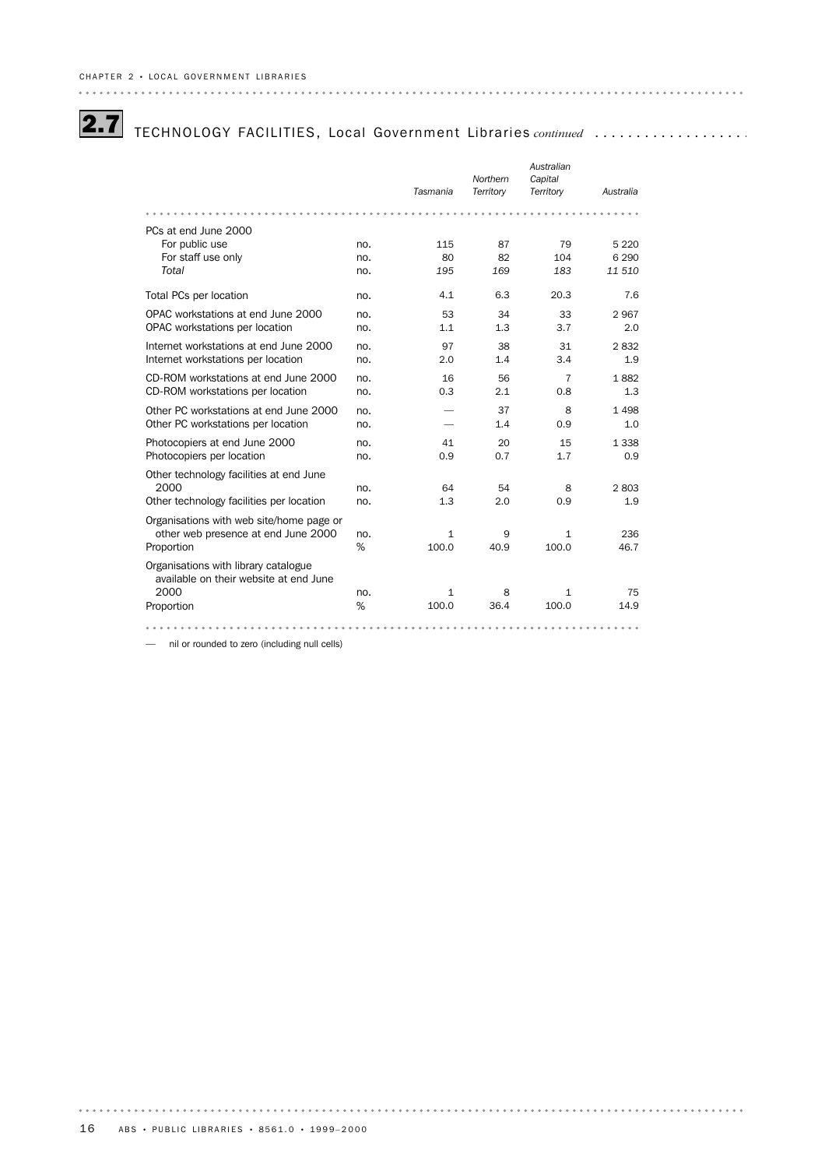## **2.7** TECHNOLOGY FACILITIES, Local Government Libraries continued ...................

|                                                                                |     |              |           | Australian     |           |
|--------------------------------------------------------------------------------|-----|--------------|-----------|----------------|-----------|
|                                                                                |     |              | Northern  | Capital        |           |
|                                                                                |     | Tasmania     | Territory | Territory      | Australia |
|                                                                                |     |              |           |                |           |
| PCs at end June 2000                                                           |     |              |           |                |           |
| For public use                                                                 | no. | 115          | 87        | 79             | 5 2 2 0   |
| For staff use only                                                             | no. | 80           | 82        | 104            | 6 2 9 0   |
| Total                                                                          | no. | 195          | 169       | 183            | 11 510    |
| Total PCs per location                                                         | no. | 4.1          | 6.3       | 20.3           | 7.6       |
| OPAC workstations at end June 2000                                             | no. | 53           | 34        | 33             | 2967      |
| OPAC workstations per location                                                 | no. | 1.1          | 1.3       | 3.7            | 2.0       |
| Internet workstations at end June 2000                                         | no. | 97           | 38        | 31             | 2832      |
| Internet workstations per location                                             | no. | 2.0          | 1.4       | 3.4            | 1.9       |
| CD-ROM workstations at end June 2000                                           | no. | 16           | 56        | $\overline{7}$ | 1882      |
| CD-ROM workstations per location                                               | no. | 0.3          | 2.1       | 0.8            | 1.3       |
| Other PC workstations at end June 2000                                         | no. |              | 37        | 8              | 1498      |
| Other PC workstations per location                                             | no. |              | 1.4       | 0.9            | 1.0       |
| Photocopiers at end June 2000                                                  | no. | 41           | 20        | 15             | 1 3 3 8   |
| Photocopiers per location                                                      | no. | 0.9          | 0.7       | 1.7            | 0.9       |
| Other technology facilities at end June                                        |     |              |           |                |           |
| 2000                                                                           | no. | 64           | 54        | 8              | 2803      |
| Other technology facilities per location                                       | no. | 1.3          | 2.0       | 0.9            | 1.9       |
| Organisations with web site/home page or                                       |     |              |           |                |           |
| other web presence at end June 2000                                            | no. | $\mathbf{1}$ | 9         | 1              | 236       |
| Proportion                                                                     | %   | 100.0        | 40.9      | 100.0          | 46.7      |
| Organisations with library catalogue<br>available on their website at end June |     |              |           |                |           |
| 2000                                                                           | no. | 1            | 8         | 1              | 75        |
| Proportion                                                                     | %   | 100.0        | 36.4      | 100.0          | 14.9      |
|                                                                                |     |              |           |                |           |

— nil or rounded to zero (including null cells)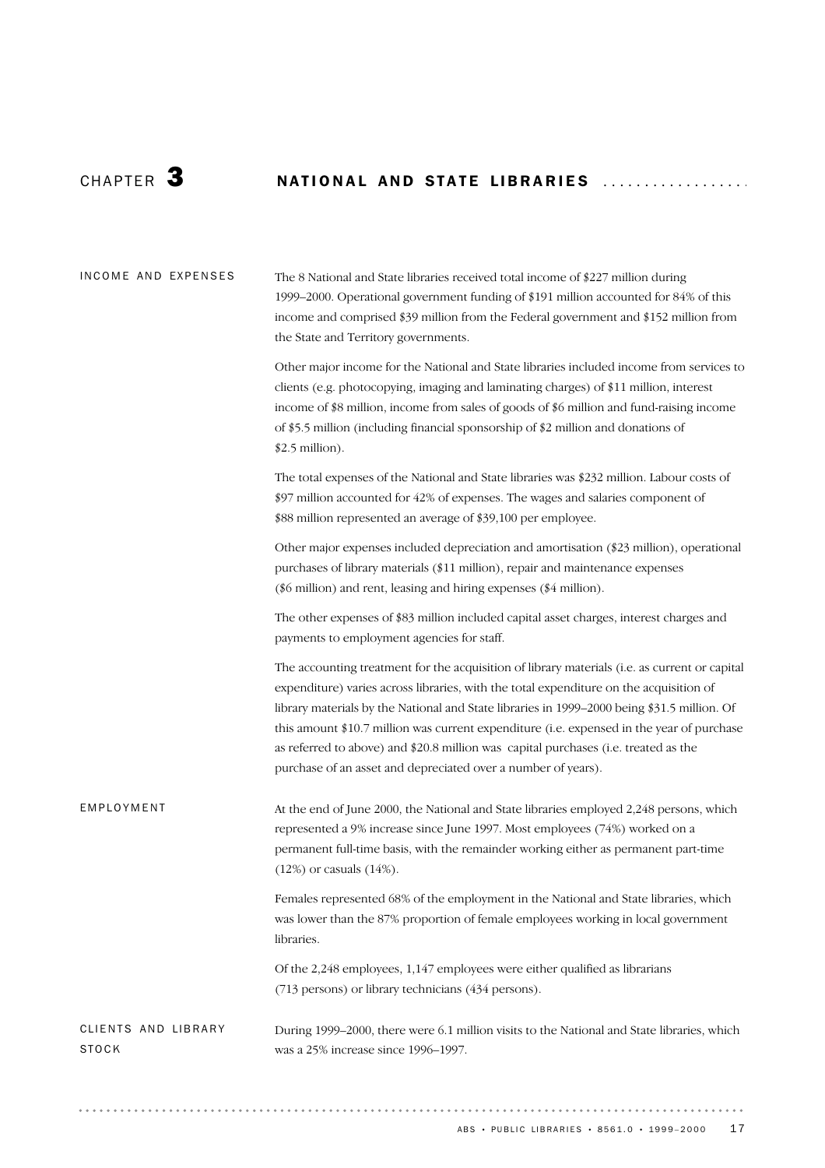## CHAPTER 3 NATIONAL AND STATE LIBRARIES ..................

| INCOME AND EXPENSES                 | The 8 National and State libraries received total income of \$227 million during<br>1999-2000. Operational government funding of \$191 million accounted for 84% of this<br>income and comprised \$39 million from the Federal government and \$152 million from<br>the State and Territory governments.                                                                                                                                                                                                                                    |
|-------------------------------------|---------------------------------------------------------------------------------------------------------------------------------------------------------------------------------------------------------------------------------------------------------------------------------------------------------------------------------------------------------------------------------------------------------------------------------------------------------------------------------------------------------------------------------------------|
|                                     | Other major income for the National and State libraries included income from services to<br>clients (e.g. photocopying, imaging and laminating charges) of \$11 million, interest<br>income of \$8 million, income from sales of goods of \$6 million and fund-raising income<br>of \$5.5 million (including financial sponsorship of \$2 million and donations of<br>$$2.5$ million).                                                                                                                                                      |
|                                     | The total expenses of the National and State libraries was \$232 million. Labour costs of<br>\$97 million accounted for 42% of expenses. The wages and salaries component of<br>\$88 million represented an average of \$39,100 per employee.                                                                                                                                                                                                                                                                                               |
|                                     | Other major expenses included depreciation and amortisation (\$23 million), operational<br>purchases of library materials (\$11 million), repair and maintenance expenses<br>(\$6 million) and rent, leasing and hiring expenses (\$4 million).                                                                                                                                                                                                                                                                                             |
|                                     | The other expenses of \$83 million included capital asset charges, interest charges and<br>payments to employment agencies for staff.                                                                                                                                                                                                                                                                                                                                                                                                       |
|                                     | The accounting treatment for the acquisition of library materials (i.e. as current or capital<br>expenditure) varies across libraries, with the total expenditure on the acquisition of<br>library materials by the National and State libraries in 1999–2000 being \$31.5 million. Of<br>this amount \$10.7 million was current expenditure (i.e. expensed in the year of purchase<br>as referred to above) and \$20.8 million was capital purchases (i.e. treated as the<br>purchase of an asset and depreciated over a number of years). |
| EMPLOYMENT                          | At the end of June 2000, the National and State libraries employed 2,248 persons, which<br>represented a 9% increase since June 1997. Most employees (74%) worked on a<br>permanent full-time basis, with the remainder working either as permanent part-time<br>$(12%)$ or casuals $(14%)$ .                                                                                                                                                                                                                                               |
|                                     | Females represented 68% of the employment in the National and State libraries, which<br>was lower than the 87% proportion of female employees working in local government<br>libraries.                                                                                                                                                                                                                                                                                                                                                     |
|                                     | Of the 2,248 employees, 1,147 employees were either qualified as librarians<br>(713 persons) or library technicians (434 persons).                                                                                                                                                                                                                                                                                                                                                                                                          |
| CLIENTS AND LIBRARY<br><b>STOCK</b> | During 1999–2000, there were 6.1 million visits to the National and State libraries, which<br>was a 25% increase since 1996-1997.                                                                                                                                                                                                                                                                                                                                                                                                           |

ABS • PUBLIC LIBRARIES • 8561.0 • 1999-2000 17

. . . . . . .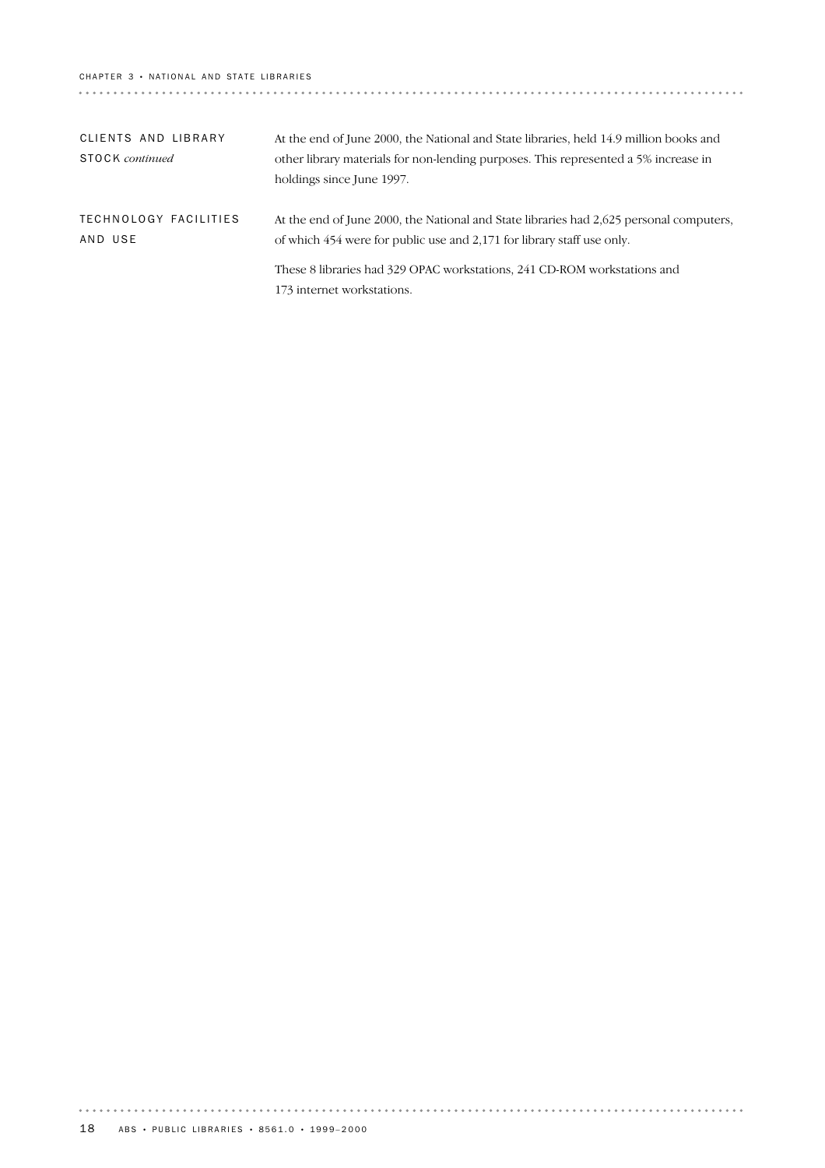### CHAPTER 3 · NATIONAL AND STATE LIBRARIES

| CLIENTS AND LIBRARY<br><b>STOCK</b> continued | At the end of June 2000, the National and State libraries, held 14.9 million books and<br>other library materials for non-lending purposes. This represented a 5% increase in<br>holdings since June 1997. |
|-----------------------------------------------|------------------------------------------------------------------------------------------------------------------------------------------------------------------------------------------------------------|
| TECHNOLOGY FACILITIES<br>AND USE              | At the end of June 2000, the National and State libraries had 2,625 personal computers,<br>of which 454 were for public use and 2,171 for library staff use only.                                          |
|                                               | These 8 libraries had 329 OPAC workstations, 241 CD-ROM workstations and<br>173 internet workstations.                                                                                                     |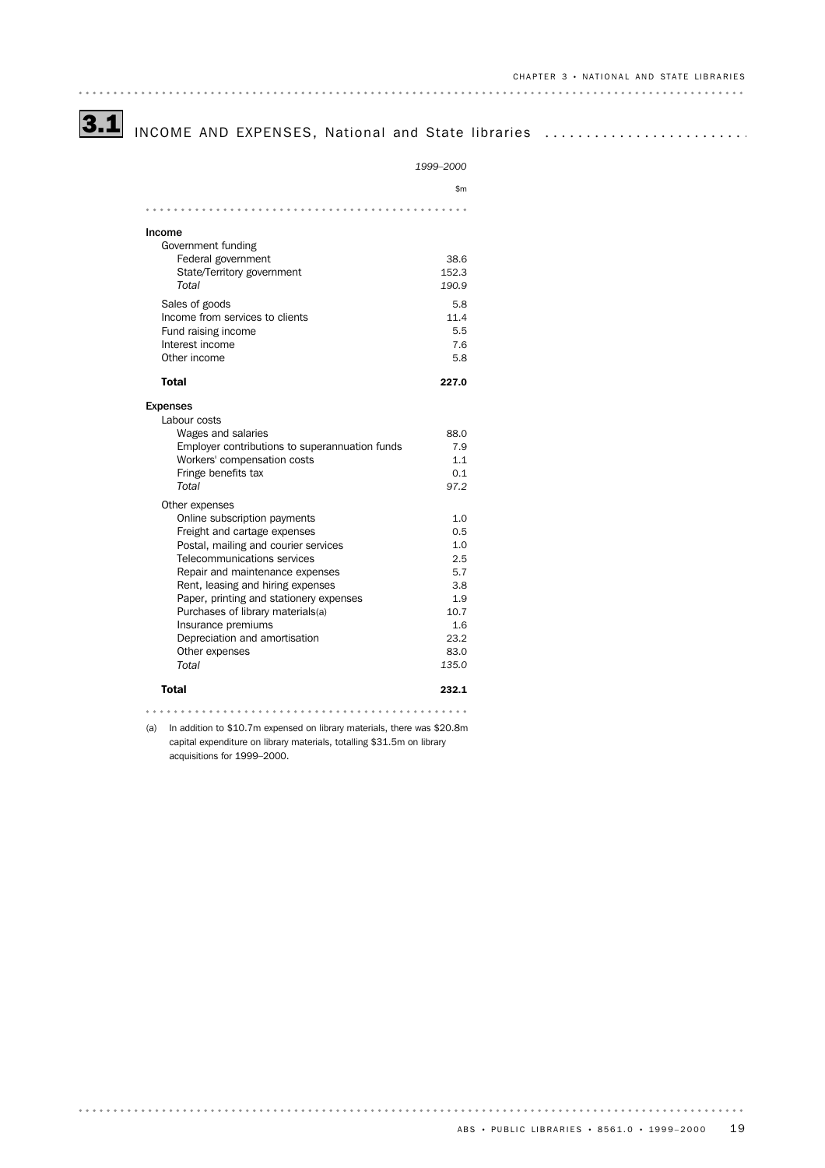# 3.1 INCOME AND EXPENSES, National and State libraries ..........................

|                                                                                | 1999-2000   |
|--------------------------------------------------------------------------------|-------------|
|                                                                                | \$m         |
|                                                                                |             |
|                                                                                |             |
| Income                                                                         |             |
| Government funding<br>Federal government                                       | 38.6        |
| State/Territory government                                                     | 152.3       |
| Total                                                                          | 190.9       |
|                                                                                |             |
| Sales of goods                                                                 | 5.8         |
| Income from services to clients                                                | 11.4<br>5.5 |
| Fund raising income<br>Interest income                                         | 7.6         |
| Other income                                                                   | 5.8         |
|                                                                                |             |
| Total                                                                          | 227.0       |
| <b>Expenses</b>                                                                |             |
| Labour costs                                                                   |             |
| Wages and salaries                                                             | 88.0        |
| Employer contributions to superannuation funds                                 | 7.9         |
| Workers' compensation costs                                                    | 1.1         |
| Fringe benefits tax                                                            | 0.1         |
| Total                                                                          | 97.2        |
| Other expenses                                                                 |             |
| Online subscription payments                                                   | 1.0         |
| Freight and cartage expenses                                                   | 0.5         |
| Postal, mailing and courier services                                           | 1.0         |
| Telecommunications services                                                    | 2.5         |
| Repair and maintenance expenses                                                | 5.7         |
| Rent, leasing and hiring expenses                                              | 3.8         |
| Paper, printing and stationery expenses                                        | 1.9         |
| Purchases of library materials(a)                                              | 10.7<br>1.6 |
| Insurance premiums<br>Depreciation and amortisation                            | 23.2        |
| Other expenses                                                                 | 83.0        |
| Total                                                                          | 135.0       |
| <b>Total</b>                                                                   | 232.1       |
|                                                                                |             |
| (a)<br>In addition to \$10.7m expensed on library materials, there was \$20.8m |             |
| capital expenditure on library materials, totalling \$31.5m on library         |             |
| acquisitions for 1999-2000.                                                    |             |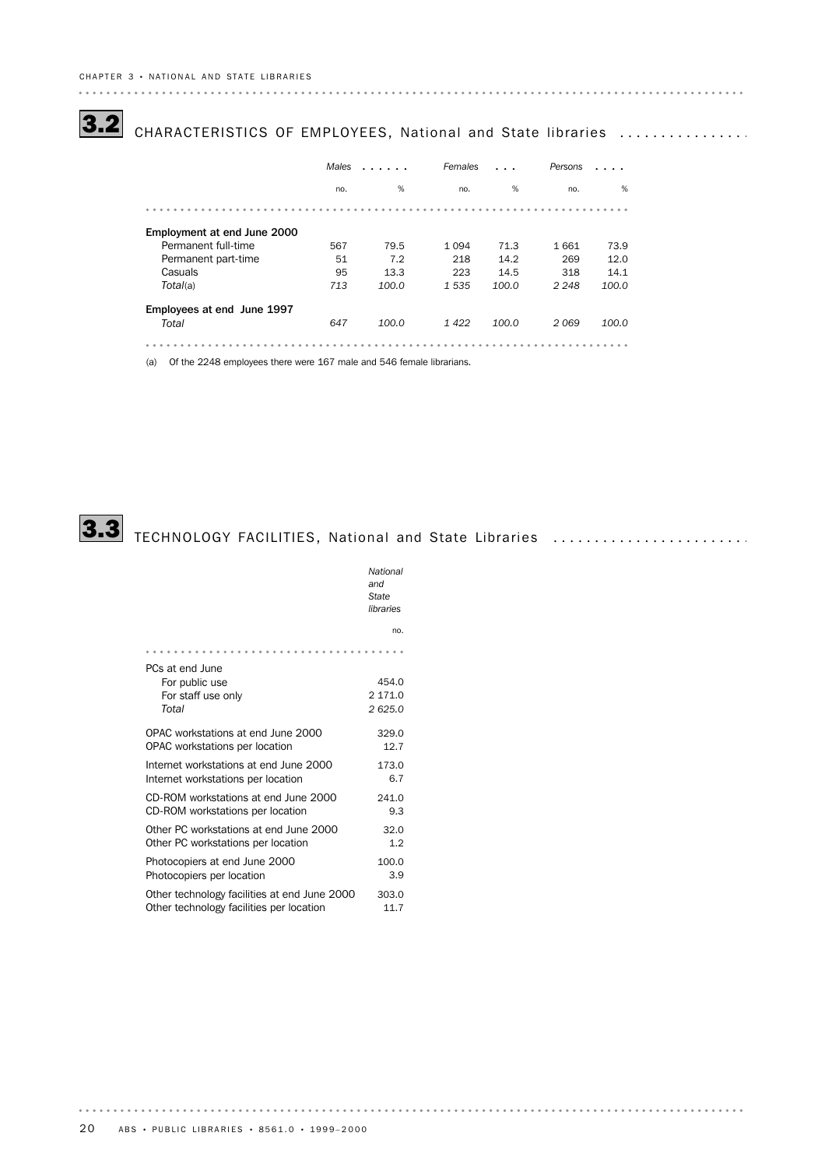## 3.2 CHARACTERISTICS OF EMPLOYEES, National and State libraries ................

|                             | Males<br>. |       | Females |       | Persons |       |
|-----------------------------|------------|-------|---------|-------|---------|-------|
|                             | no.        | %     | no.     | %     | no.     | %     |
|                             |            |       |         |       |         |       |
| Employment at end June 2000 |            |       |         |       |         |       |
| Permanent full-time         | 567        | 79.5  | 1 0 9 4 | 71.3  | 1661    | 73.9  |
| Permanent part-time         | 51         | 7.2   | 218     | 14.2  | 269     | 12.0  |
| Casuals                     | 95         | 13.3  | 223     | 14.5  | 318     | 14.1  |
| Total(a)                    | 713        | 100.0 | 1535    | 100.0 | 2 2 4 8 | 100.0 |
| Employees at end June 1997  |            |       |         |       |         |       |
| Total                       | 647        | 100.0 | 1422    | 100.0 | 2069    | 100.0 |
|                             |            |       |         |       |         |       |
|                             |            |       |         |       |         |       |

(a) Of the 2248 employees there were 167 male and 546 female librarians.



 $\begin{array}{cccccccccccccc} a & a & a & a & a & a & a & a \end{array}$ 

# 3.3 TECHNOLOGY FACILITIES, National and State Libraries ........................

|                                                                  | National<br>and<br>State<br>libraries |
|------------------------------------------------------------------|---------------------------------------|
|                                                                  | no.                                   |
|                                                                  |                                       |
| PCs at end June<br>For public use<br>For staff use only<br>Total | 454.0<br>2 171.0<br>2625.0            |
| OPAC workstations at end June 2000                               | 329.0                                 |
| OPAC workstations per location                                   | 12.7                                  |
| Internet workstations at end June 2000                           | 173.0                                 |
| Internet workstations per location                               | 6.7                                   |
| CD-ROM workstations at end June 2000                             | 241.0                                 |
| CD-ROM workstations per location                                 | 9.3                                   |
| Other PC workstations at end June 2000                           | 32.0                                  |
| Other PC workstations per location                               | 1.2                                   |
| Photocopiers at end June 2000                                    | 100.0                                 |
| Photocopiers per location                                        | 3.9                                   |
| Other technology facilities at end June 2000                     | 303.0                                 |
| Other technology facilities per location                         | 11.7                                  |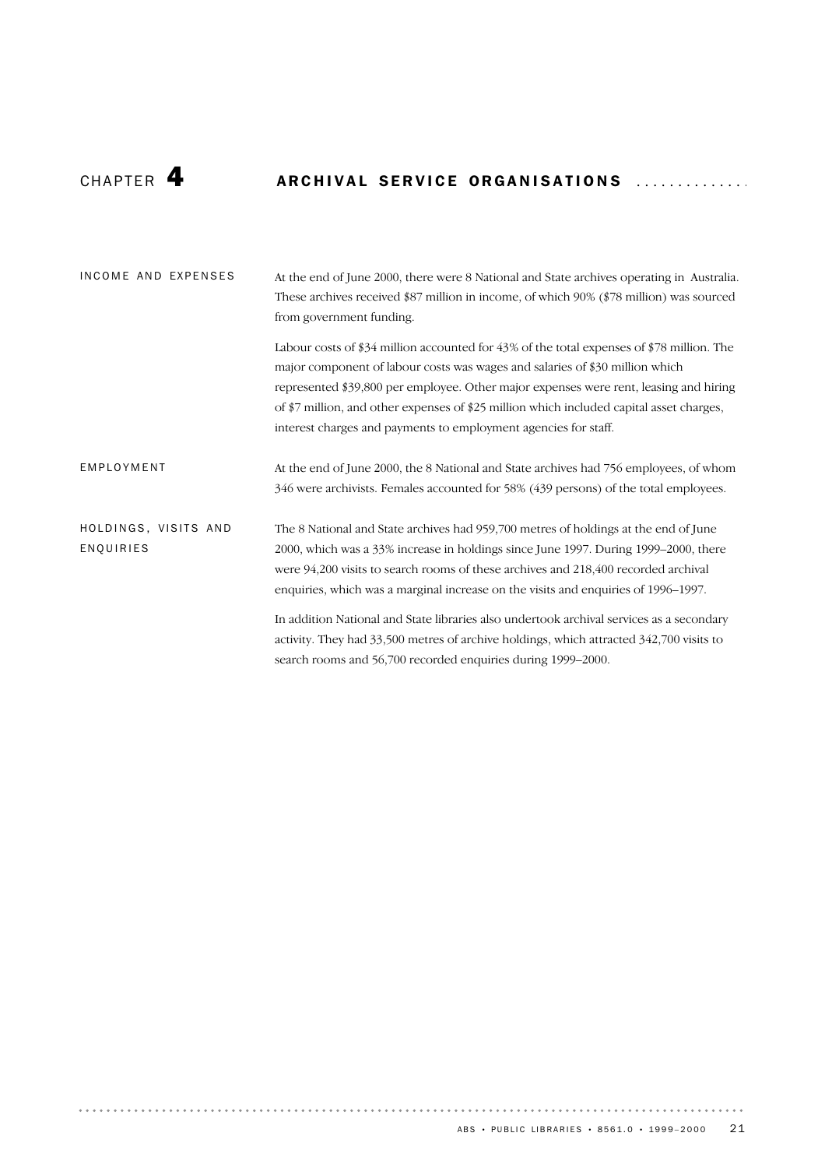## CHAPTER 4 ARCHIVAL SERVICE ORGANISATIONS ...............

| INCOME AND EXPENSES               | At the end of June 2000, there were 8 National and State archives operating in Australia.<br>These archives received \$87 million in income, of which 90% (\$78 million) was sourced<br>from government funding.                                                                                                                                                                                                                     |
|-----------------------------------|--------------------------------------------------------------------------------------------------------------------------------------------------------------------------------------------------------------------------------------------------------------------------------------------------------------------------------------------------------------------------------------------------------------------------------------|
|                                   | Labour costs of \$34 million accounted for $43\%$ of the total expenses of \$78 million. The<br>major component of labour costs was wages and salaries of \$30 million which<br>represented \$39,800 per employee. Other major expenses were rent, leasing and hiring<br>of \$7 million, and other expenses of \$25 million which included capital asset charges,<br>interest charges and payments to employment agencies for staff. |
| EMPLOYMENT                        | At the end of June 2000, the 8 National and State archives had 756 employees, of whom<br>346 were archivists. Females accounted for 58% (439 persons) of the total employees.                                                                                                                                                                                                                                                        |
| HOLDINGS, VISITS AND<br>ENQUIRIES | The 8 National and State archives had 959,700 metres of holdings at the end of June<br>2000, which was a 33% increase in holdings since June 1997. During 1999–2000, there<br>were 94,200 visits to search rooms of these archives and 218,400 recorded archival<br>enquiries, which was a marginal increase on the visits and enquiries of 1996–1997.                                                                               |
|                                   | In addition National and State libraries also undertook archival services as a secondary<br>activity. They had 33,500 metres of archive holdings, which attracted 342,700 visits to<br>search rooms and 56,700 recorded enquiries during 1999-2000.                                                                                                                                                                                  |

. . . . . . .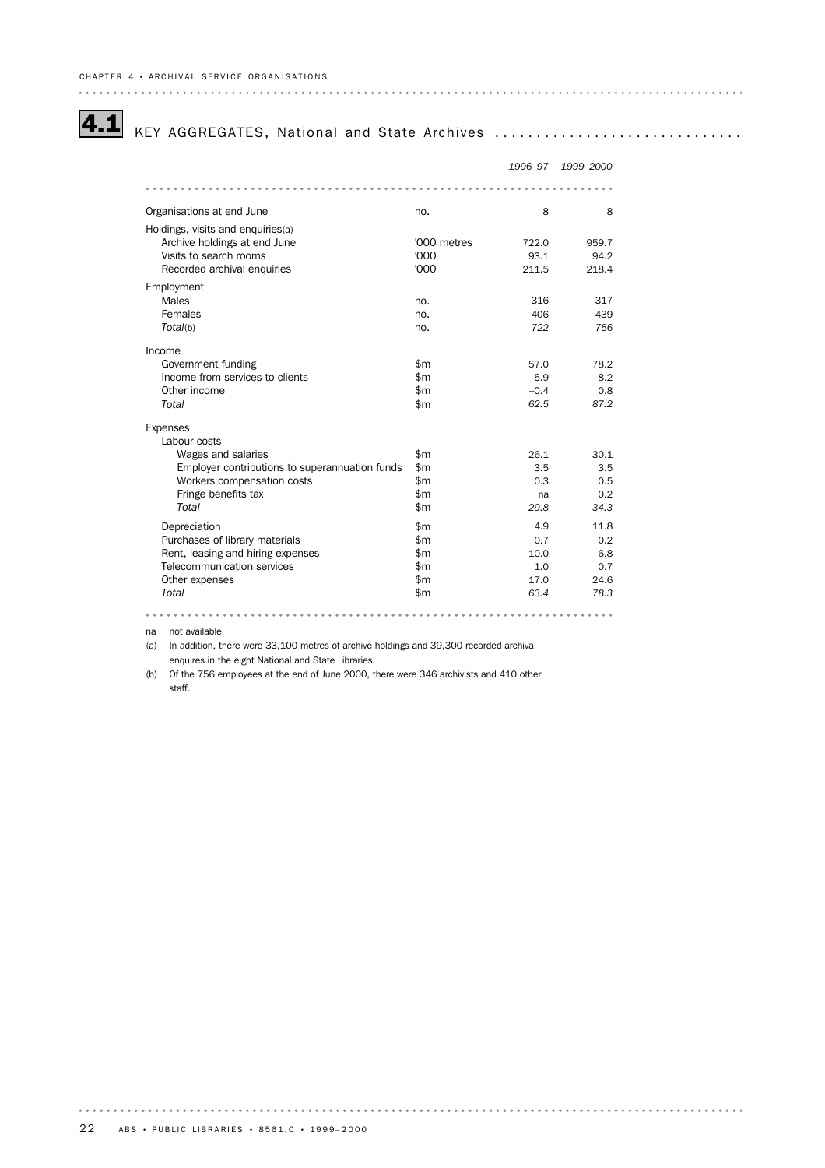## 4.1 KEY AGGREGATES, National and State Archives ................................

|                                                |             | 1996-97 | 1999-2000 |
|------------------------------------------------|-------------|---------|-----------|
|                                                |             |         |           |
| Organisations at end June                      | no.         | 8       | 8         |
| Holdings, visits and enquiries(a)              |             |         |           |
| Archive holdings at end June                   | '000 metres | 722.0   | 959.7     |
| Visits to search rooms                         | '000        | 93.1    | 94.2      |
| Recorded archival enquiries                    | '000        | 211.5   | 218.4     |
| Employment                                     |             |         |           |
| Males                                          | no.         | 316     | 317       |
| Females                                        | no.         | 406     | 439       |
| Total(b)                                       | no.         | 722     | 756       |
| Income                                         |             |         |           |
| Government funding                             | \$m         | 57.0    | 78.2      |
| Income from services to clients                | \$m         | 5.9     | 8.2       |
| Other income                                   | \$m\$       | $-0.4$  | 0.8       |
| Total                                          | \$m\$       | 62.5    | 87.2      |
| <b>Expenses</b>                                |             |         |           |
| Labour costs                                   |             |         |           |
| Wages and salaries                             | \$m         | 26.1    | 30.1      |
| Employer contributions to superannuation funds | \$m         | 3.5     | 3.5       |
| Workers compensation costs                     | \$m\$       | 0.3     | 0.5       |
| Fringe benefits tax                            | \$m         | na      | 0.2       |
| Total                                          | \$m         | 29.8    | 34.3      |
| Depreciation                                   | \$m         | 4.9     | 11.8      |
| Purchases of library materials                 | \$m\$       | 0.7     | 0.2       |
| Rent, leasing and hiring expenses              | \$m         | 10.0    | 6.8       |
| Telecommunication services                     | \$m         | 1.0     | 0.7       |
| Other expenses                                 | \$m\$       | 17.0    | 24.6      |
| Total                                          | \$m         | 63.4    | 78.3      |
|                                                |             |         |           |

na not available

(a) In addition, there were 33,100 metres of archive holdings and 39,300 recorded archival enquires in the eight National and State Libraries.

(b) Of the 756 employees at the end of June 2000, there were 346 archivists and 410 other staff.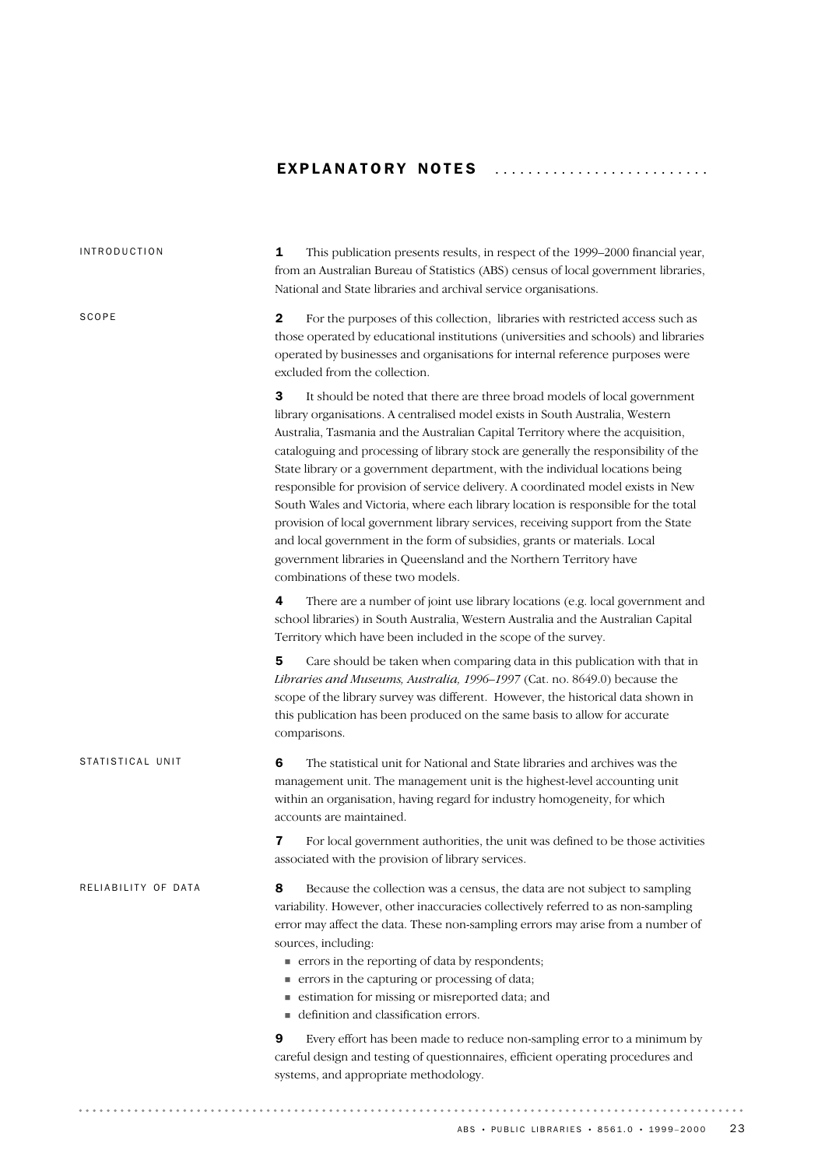### EXPLANATORY NOTES ...........................

| <b>INTRODUCTION</b> | 1<br>This publication presents results, in respect of the 1999–2000 financial year,<br>from an Australian Bureau of Statistics (ABS) census of local government libraries,<br>National and State libraries and archival service organisations.                                                                                                                                                                                                                                                                                                                                                                                                                                                                                                                                                                                                                                  |
|---------------------|---------------------------------------------------------------------------------------------------------------------------------------------------------------------------------------------------------------------------------------------------------------------------------------------------------------------------------------------------------------------------------------------------------------------------------------------------------------------------------------------------------------------------------------------------------------------------------------------------------------------------------------------------------------------------------------------------------------------------------------------------------------------------------------------------------------------------------------------------------------------------------|
| SCOPE               | $\mathbf{2}$<br>For the purposes of this collection, libraries with restricted access such as<br>those operated by educational institutions (universities and schools) and libraries<br>operated by businesses and organisations for internal reference purposes were<br>excluded from the collection.                                                                                                                                                                                                                                                                                                                                                                                                                                                                                                                                                                          |
|                     | 3<br>It should be noted that there are three broad models of local government<br>library organisations. A centralised model exists in South Australia, Western<br>Australia, Tasmania and the Australian Capital Territory where the acquisition,<br>cataloguing and processing of library stock are generally the responsibility of the<br>State library or a government department, with the individual locations being<br>responsible for provision of service delivery. A coordinated model exists in New<br>South Wales and Victoria, where each library location is responsible for the total<br>provision of local government library services, receiving support from the State<br>and local government in the form of subsidies, grants or materials. Local<br>government libraries in Queensland and the Northern Territory have<br>combinations of these two models. |
|                     | There are a number of joint use library locations (e.g. local government and<br>4<br>school libraries) in South Australia, Western Australia and the Australian Capital<br>Territory which have been included in the scope of the survey.                                                                                                                                                                                                                                                                                                                                                                                                                                                                                                                                                                                                                                       |
|                     | 5<br>Care should be taken when comparing data in this publication with that in<br>Libraries and Museums, Australia, 1996-1997 (Cat. no. 8649.0) because the<br>scope of the library survey was different. However, the historical data shown in<br>this publication has been produced on the same basis to allow for accurate<br>comparisons.                                                                                                                                                                                                                                                                                                                                                                                                                                                                                                                                   |
| STATISTICAL UNIT    | 6<br>The statistical unit for National and State libraries and archives was the<br>management unit. The management unit is the highest-level accounting unit<br>within an organisation, having regard for industry homogeneity, for which<br>accounts are maintained.                                                                                                                                                                                                                                                                                                                                                                                                                                                                                                                                                                                                           |
|                     | 7<br>For local government authorities, the unit was defined to be those activities<br>associated with the provision of library services.                                                                                                                                                                                                                                                                                                                                                                                                                                                                                                                                                                                                                                                                                                                                        |
| RELIABILITY OF DATA | Because the collection was a census, the data are not subject to sampling<br>8<br>variability. However, other inaccuracies collectively referred to as non-sampling<br>error may affect the data. These non-sampling errors may arise from a number of<br>sources, including:<br>• errors in the reporting of data by respondents;<br>errors in the capturing or processing of data;<br>estimation for missing or misreported data; and<br>- definition and classification errors.                                                                                                                                                                                                                                                                                                                                                                                              |
|                     | Every effort has been made to reduce non-sampling error to a minimum by<br>9<br>careful design and testing of questionnaires, efficient operating procedures and<br>systems, and appropriate methodology.                                                                                                                                                                                                                                                                                                                                                                                                                                                                                                                                                                                                                                                                       |
|                     |                                                                                                                                                                                                                                                                                                                                                                                                                                                                                                                                                                                                                                                                                                                                                                                                                                                                                 |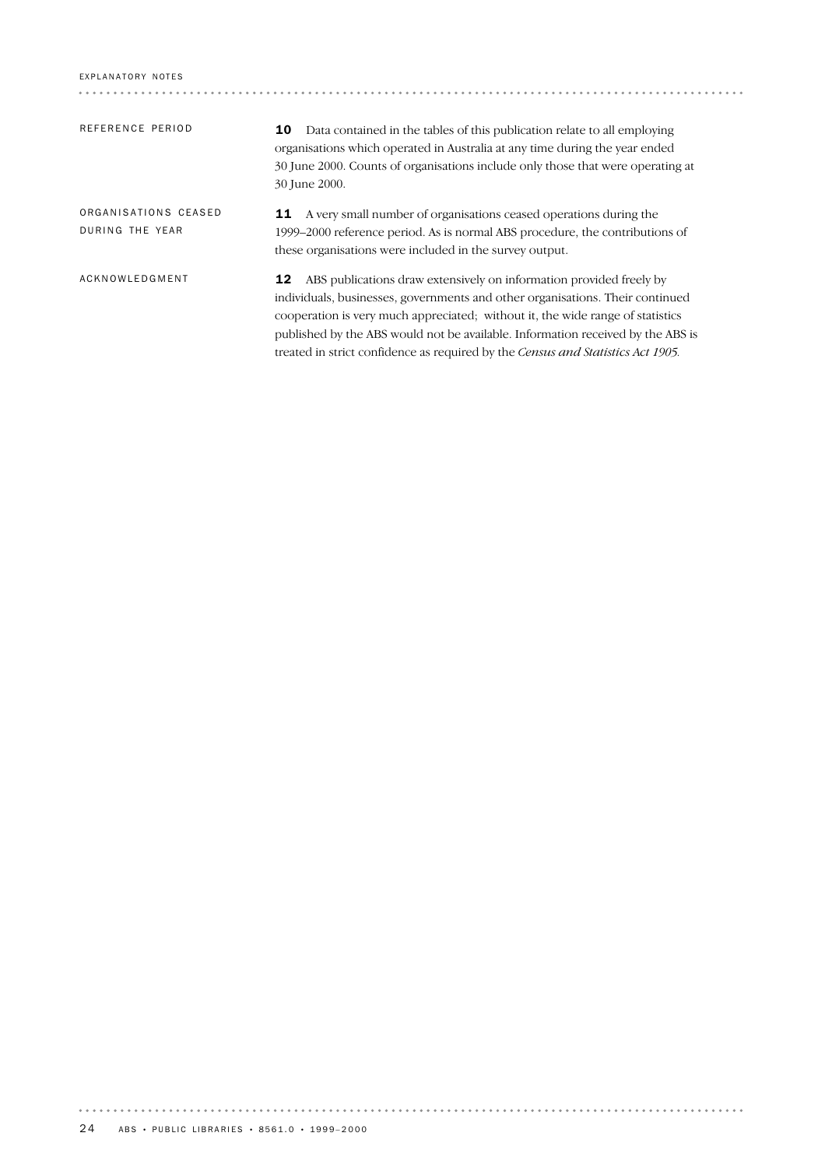| REFERENCE PERIOD                        | Data contained in the tables of this publication relate to all employing<br>10<br>organisations which operated in Australia at any time during the year ended<br>30 June 2000. Counts of organisations include only those that were operating at<br>30 June 2000.                                                               |
|-----------------------------------------|---------------------------------------------------------------------------------------------------------------------------------------------------------------------------------------------------------------------------------------------------------------------------------------------------------------------------------|
| ORGANISATIONS CEASED<br>DURING THE YEAR | A very small number of organisations ceased operations during the<br>11<br>1999–2000 reference period. As is normal ABS procedure, the contributions of<br>these organisations were included in the survey output.                                                                                                              |
| ACKNOWLEDGMENT                          | ABS publications draw extensively on information provided freely by<br>12<br>individuals, businesses, governments and other organisations. Their continued<br>cooperation is very much appreciated; without it, the wide range of statistics<br>published by the ABS would not be available. Information received by the ABS is |

treated in strict confidence as required by the *Census and Statistics Act 1905.*

 $\cdots \cdots \cdots \cdots$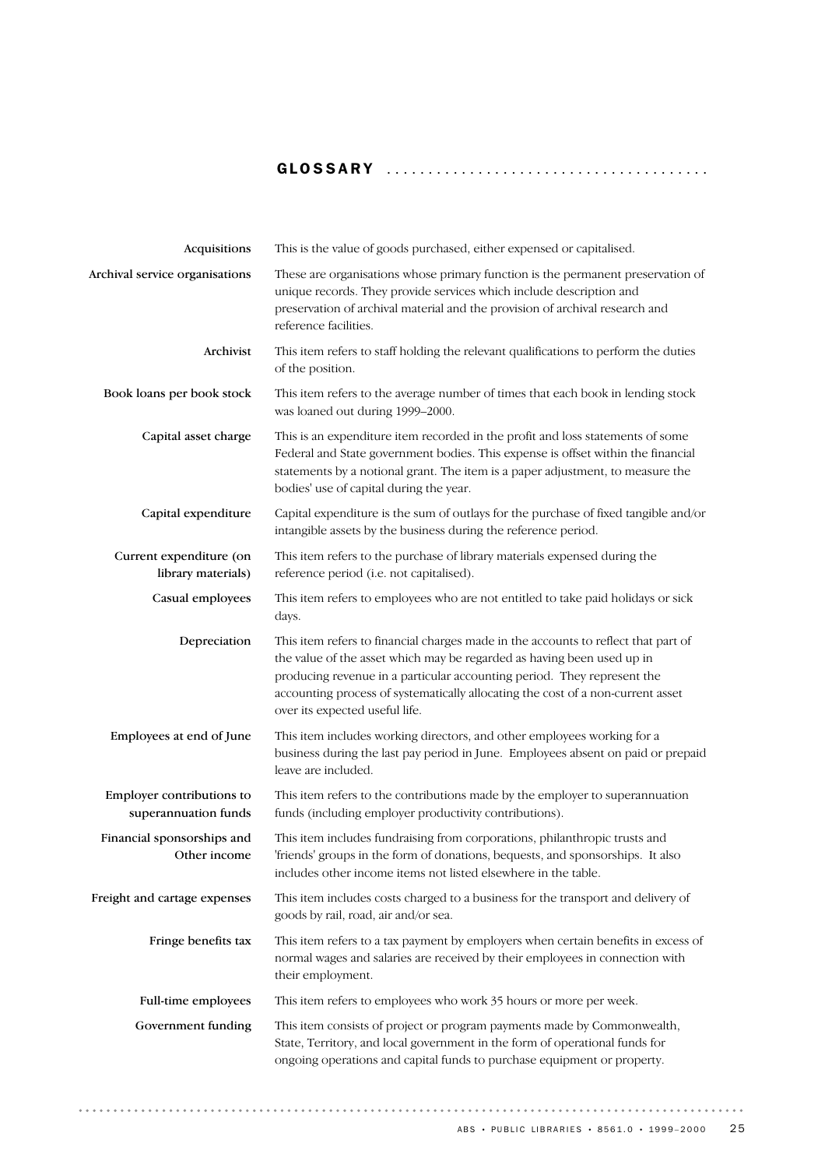## GLOSSARY .......................................

| Acquisitions                                      | This is the value of goods purchased, either expensed or capitalised.                                                                                                                                                                                                                                                                                        |
|---------------------------------------------------|--------------------------------------------------------------------------------------------------------------------------------------------------------------------------------------------------------------------------------------------------------------------------------------------------------------------------------------------------------------|
| Archival service organisations                    | These are organisations whose primary function is the permanent preservation of<br>unique records. They provide services which include description and<br>preservation of archival material and the provision of archival research and<br>reference facilities.                                                                                              |
| Archivist                                         | This item refers to staff holding the relevant qualifications to perform the duties<br>of the position.                                                                                                                                                                                                                                                      |
| Book loans per book stock                         | This item refers to the average number of times that each book in lending stock<br>was loaned out during 1999-2000.                                                                                                                                                                                                                                          |
| Capital asset charge                              | This is an expenditure item recorded in the profit and loss statements of some<br>Federal and State government bodies. This expense is offset within the financial<br>statements by a notional grant. The item is a paper adjustment, to measure the<br>bodies' use of capital during the year.                                                              |
| Capital expenditure                               | Capital expenditure is the sum of outlays for the purchase of fixed tangible and/or<br>intangible assets by the business during the reference period.                                                                                                                                                                                                        |
| Current expenditure (on<br>library materials)     | This item refers to the purchase of library materials expensed during the<br>reference period (i.e. not capitalised).                                                                                                                                                                                                                                        |
| Casual employees                                  | This item refers to employees who are not entitled to take paid holidays or sick<br>days.                                                                                                                                                                                                                                                                    |
| Depreciation                                      | This item refers to financial charges made in the accounts to reflect that part of<br>the value of the asset which may be regarded as having been used up in<br>producing revenue in a particular accounting period. They represent the<br>accounting process of systematically allocating the cost of a non-current asset<br>over its expected useful life. |
| Employees at end of June                          | This item includes working directors, and other employees working for a<br>business during the last pay period in June. Employees absent on paid or prepaid<br>leave are included.                                                                                                                                                                           |
| Employer contributions to<br>superannuation funds | This item refers to the contributions made by the employer to superannuation<br>funds (including employer productivity contributions).                                                                                                                                                                                                                       |
| Financial sponsorships and<br>Other income        | This item includes fundraising from corporations, philanthropic trusts and<br>'friends' groups in the form of donations, bequests, and sponsorships. It also<br>includes other income items not listed elsewhere in the table.                                                                                                                               |
| Freight and cartage expenses                      | This item includes costs charged to a business for the transport and delivery of<br>goods by rail, road, air and/or sea.                                                                                                                                                                                                                                     |
| Fringe benefits tax                               | This item refers to a tax payment by employers when certain benefits in excess of<br>normal wages and salaries are received by their employees in connection with<br>their employment.                                                                                                                                                                       |
| Full-time employees                               | This item refers to employees who work 35 hours or more per week.                                                                                                                                                                                                                                                                                            |
| Government funding                                | This item consists of project or program payments made by Commonwealth,<br>State, Territory, and local government in the form of operational funds for<br>ongoing operations and capital funds to purchase equipment or property.                                                                                                                            |

. . . . . . . . . . . .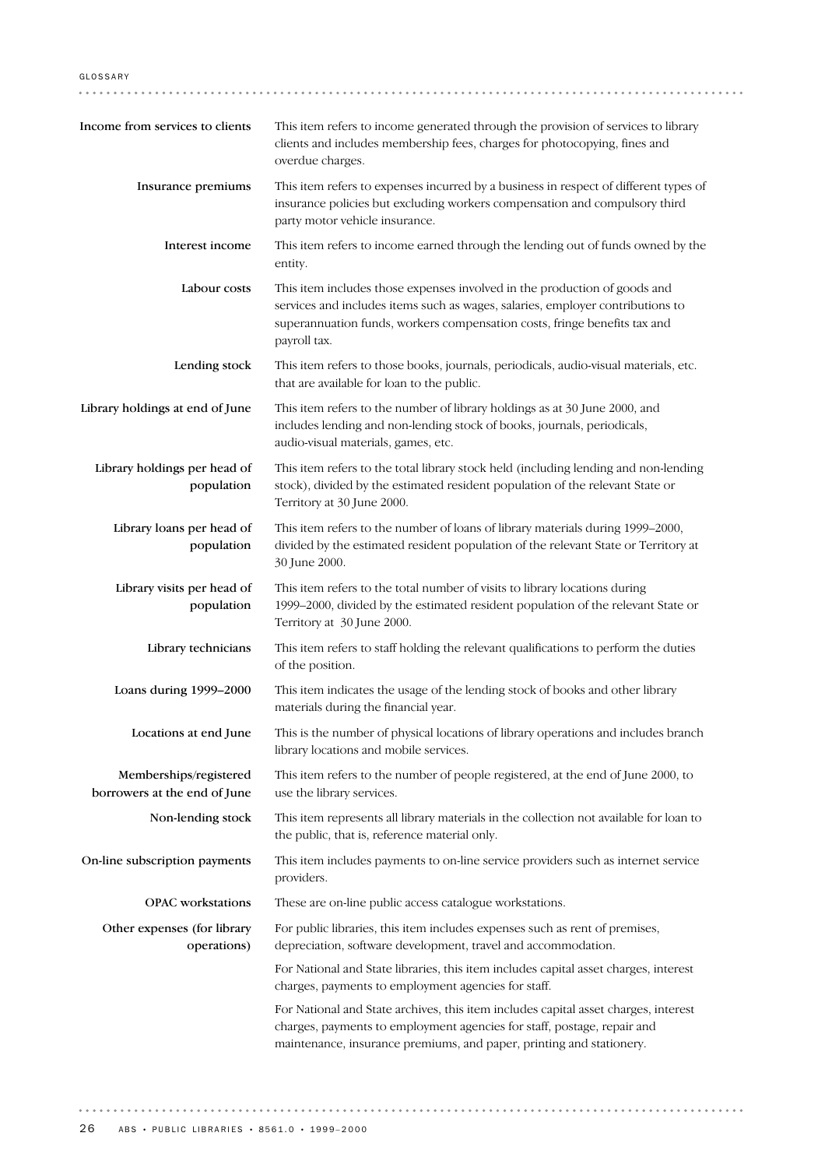. . . . . . . . . . . . . . Income from services to clients This item refers to income generated through the provision of services to library clients and includes membership fees, charges for photocopying, fines and overdue charges. Insurance premiums This item refers to expenses incurred by a business in respect of different types of insurance policies but excluding workers compensation and compulsory third party motor vehicle insurance. Interest income This item refers to income earned through the lending out of funds owned by the entity. Labour costs This item includes those expenses involved in the production of goods and services and includes items such as wages, salaries, employer contributions to superannuation funds, workers compensation costs, fringe benefits tax and payroll tax. Lending stock This item refers to those books, journals, periodicals, audio-visual materials, etc. that are available for loan to the public. Library holdings at end of June This item refers to the number of library holdings as at 30 June 2000, and includes lending and non-lending stock of books, journals, periodicals, audio-visual materials, games, etc. Library holdings per head of This item refers to the total library stock held (including lending and non-lending population stock), divided by the estimated resident population of the relevant State or Territory at 30 June 2000. Library loans per head of This item refers to the number of loans of library materials during 1999–2000, divided by the estimated resident population of the relevant State or Territory at population 30 June 2000. Library visits per head of This item refers to the total number of visits to library locations during population 1999–2000, divided by the estimated resident population of the relevant State or Territory at 30 June 2000. This item refers to staff holding the relevant qualifications to perform the duties Library technicians of the position. Loans during 1999–2000 This item indicates the usage of the lending stock of books and other library materials during the financial year. Locations at end June This is the number of physical locations of library operations and includes branch library locations and mobile services. Memberships/registered This item refers to the number of people registered, at the end of June 2000, to

For public libraries, this item includes expenses such as rent of premises, depreciation, software development, travel and accommodation. For National and State libraries, this item includes capital asset charges, interest charges, payments to employment agencies for staff. Other expenses (for library operations) OPAC workstations These are on-line public access catalogue workstations. This item includes payments to on-line service providers such as internet service providers. On-line subscription payments This item represents all library materials in the collection not available for loan to the public, that is, reference material only. Non-lending stock use the library services. borrowers at the end of June

> For National and State archives, this item includes capital asset charges, interest charges, payments to employment agencies for staff, postage, repair and maintenance, insurance premiums, and paper, printing and stationery.

GLOSSARY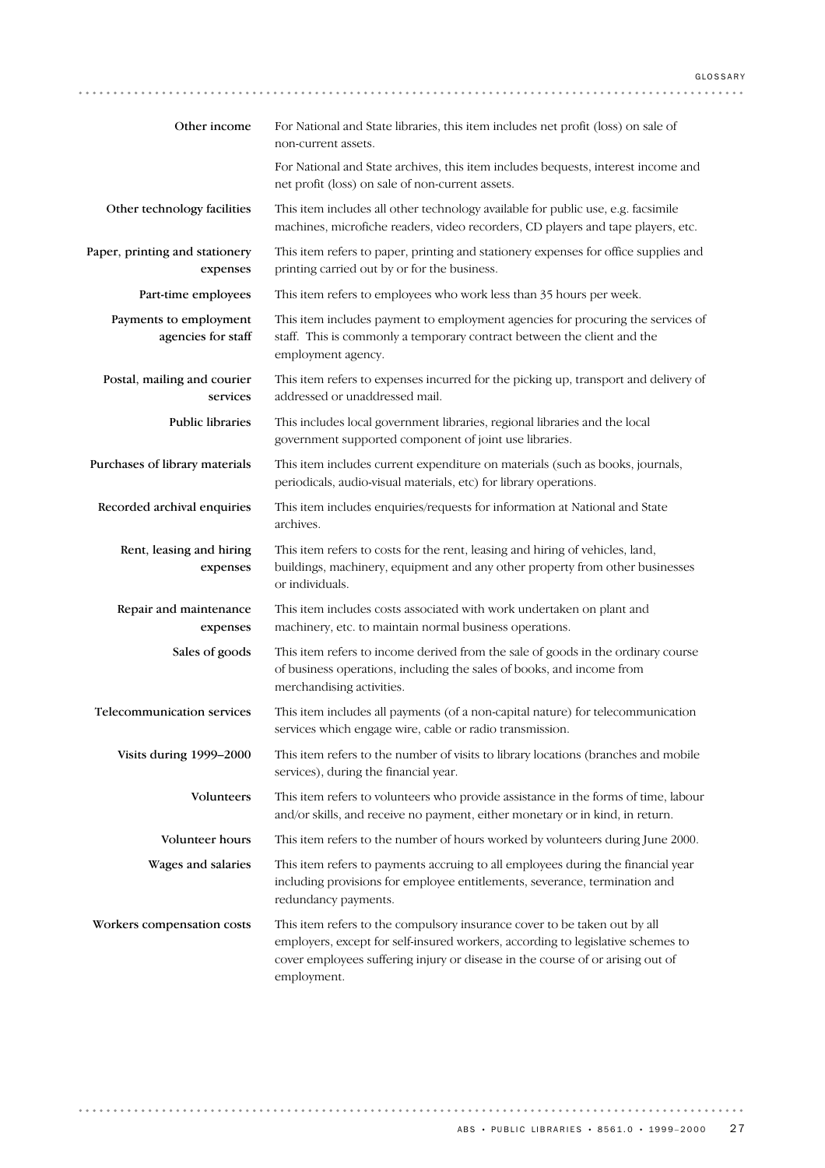| Other income                                 | For National and State libraries, this item includes net profit (loss) on sale of<br>non-current assets.                                                                                                                                                      |
|----------------------------------------------|---------------------------------------------------------------------------------------------------------------------------------------------------------------------------------------------------------------------------------------------------------------|
|                                              | For National and State archives, this item includes bequests, interest income and<br>net profit (loss) on sale of non-current assets.                                                                                                                         |
| Other technology facilities                  | This item includes all other technology available for public use, e.g. facsimile<br>machines, microfiche readers, video recorders, CD players and tape players, etc.                                                                                          |
| Paper, printing and stationery<br>expenses   | This item refers to paper, printing and stationery expenses for office supplies and<br>printing carried out by or for the business.                                                                                                                           |
| Part-time employees                          | This item refers to employees who work less than 35 hours per week.                                                                                                                                                                                           |
| Payments to employment<br>agencies for staff | This item includes payment to employment agencies for procuring the services of<br>staff. This is commonly a temporary contract between the client and the<br>employment agency.                                                                              |
| Postal, mailing and courier<br>services      | This item refers to expenses incurred for the picking up, transport and delivery of<br>addressed or unaddressed mail.                                                                                                                                         |
| Public libraries                             | This includes local government libraries, regional libraries and the local<br>government supported component of joint use libraries.                                                                                                                          |
| Purchases of library materials               | This item includes current expenditure on materials (such as books, journals,<br>periodicals, audio-visual materials, etc) for library operations.                                                                                                            |
| Recorded archival enquiries                  | This item includes enquiries/requests for information at National and State<br>archives.                                                                                                                                                                      |
| Rent, leasing and hiring<br>expenses         | This item refers to costs for the rent, leasing and hiring of vehicles, land,<br>buildings, machinery, equipment and any other property from other businesses<br>or individuals.                                                                              |
| Repair and maintenance<br>expenses           | This item includes costs associated with work undertaken on plant and<br>machinery, etc. to maintain normal business operations.                                                                                                                              |
| Sales of goods                               | This item refers to income derived from the sale of goods in the ordinary course<br>of business operations, including the sales of books, and income from<br>merchandising activities.                                                                        |
| <b>Telecommunication services</b>            | This item includes all payments (of a non-capital nature) for telecommunication<br>services which engage wire, cable or radio transmission.                                                                                                                   |
| Visits during 1999-2000                      | This item refers to the number of visits to library locations (branches and mobile<br>services), during the financial year.                                                                                                                                   |
| Volunteers                                   | This item refers to volunteers who provide assistance in the forms of time, labour<br>and/or skills, and receive no payment, either monetary or in kind, in return.                                                                                           |
| Volunteer hours                              | This item refers to the number of hours worked by volunteers during June 2000.                                                                                                                                                                                |
| Wages and salaries                           | This item refers to payments accruing to all employees during the financial year<br>including provisions for employee entitlements, severance, termination and<br>redundancy payments.                                                                        |
| Workers compensation costs                   | This item refers to the compulsory insurance cover to be taken out by all<br>employers, except for self-insured workers, according to legislative schemes to<br>cover employees suffering injury or disease in the course of or arising out of<br>employment. |